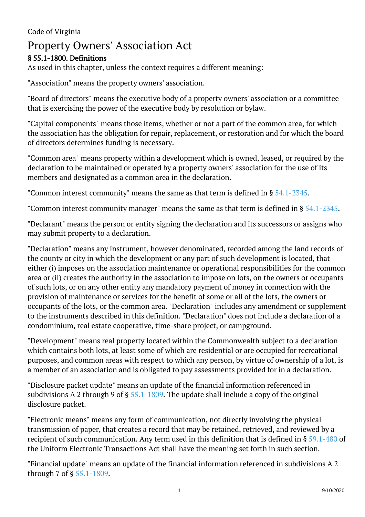## Code of Virginia

# Property Owners' Association Act

## § 55.1-1800. Definitions

As used in this chapter, unless the context requires a different meaning:

"Association" means the property owners' association.

"Board of directors" means the executive body of a property owners' association or a committee that is exercising the power of the executive body by resolution or bylaw.

"Capital components" means those items, whether or not a part of the common area, for which the association has the obligation for repair, replacement, or restoration and for which the board of directors determines funding is necessary.

"Common area" means property within a development which is owned, leased, or required by the declaration to be maintained or operated by a property owners' association for the use of its members and designated as a common area in the declaration.

"Common interest community" means the same as that term is defined in  $\S~54.1$ -2345.

"Common interest community manager" means the same as that term is defined in § [54.1-2345.](/vacode/54.1-2345/)

"Declarant" means the person or entity signing the declaration and its successors or assigns who may submit property to a declaration.

"Declaration" means any instrument, however denominated, recorded among the land records of the county or city in which the development or any part of such development is located, that either (i) imposes on the association maintenance or operational responsibilities for the common area or (ii) creates the authority in the association to impose on lots, on the owners or occupants of such lots, or on any other entity any mandatory payment of money in connection with the provision of maintenance or services for the benefit of some or all of the lots, the owners or occupants of the lots, or the common area. "Declaration" includes any amendment or supplement to the instruments described in this definition. "Declaration" does not include a declaration of a condominium, real estate cooperative, time-share project, or campground.

"Development" means real property located within the Commonwealth subject to a declaration which contains both lots, at least some of which are residential or are occupied for recreational purposes, and common areas with respect to which any person, by virtue of ownership of a lot, is a member of an association and is obligated to pay assessments provided for in a declaration. Ĩ

"Disclosure packet update" means an update of the financial information referenced in subdivisions A 2 through 9 of §  $55.1-1809$ . The update shall include a copy of the original disclosure packet.

"Electronic means" means any form of communication, not directly involving the physical transmission of paper, that creates a record that may be retained, retrieved, and reviewed by a recipient of such communication. Any term used in this definition that is defined in § [59.1-480](/vacode/59.1-480/) of the Uniform Electronic Transactions Act shall have the meaning set forth in such section.

"Financial update" means an update of the financial information referenced in subdivisions A 2 through 7 of § [55.1-1809](/vacode/55.1-1809/).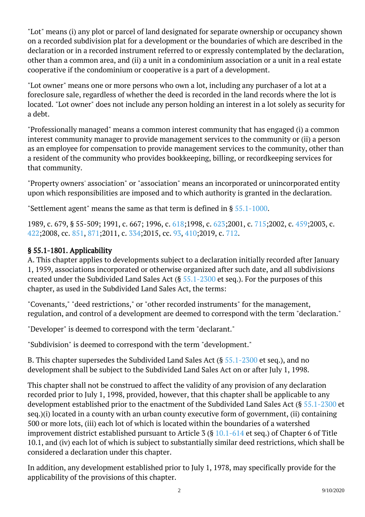"Lot" means (i) any plot or parcel of land designated for separate ownership or occupancy shown on a recorded subdivision plat for a development or the boundaries of which are described in the declaration or in a recorded instrument referred to or expressly contemplated by the declaration, other than a common area, and (ii) a unit in a condominium association or a unit in a real estate cooperative if the condominium or cooperative is a part of a development.

"Lot owner" means one or more persons who own a lot, including any purchaser of a lot at a foreclosure sale, regardless of whether the deed is recorded in the land records where the lot is located. "Lot owner" does not include any person holding an interest in a lot solely as security for a debt.

"Professionally managed" means a common interest community that has engaged (i) a common interest community manager to provide management services to the community or (ii) a person as an employee for compensation to provide management services to the community, other than a resident of the community who provides bookkeeping, billing, or recordkeeping services for that community.

"Property owners' association" or "association" means an incorporated or unincorporated entity upon which responsibilities are imposed and to which authority is granted in the declaration.

"Settlement agent" means the same as that term is defined in § [55.1-1000](/vacode/55.1-1000/).

1989, c. 679, § 55-509; 1991, c. 667; 1996, c. [618;](http://lis.virginia.gov/cgi-bin/legp604.exe?961+ful+CHAP0618)1998, c. [623;](http://lis.virginia.gov/cgi-bin/legp604.exe?981+ful+CHAP0623)2001, c. [715;](http://lis.virginia.gov/cgi-bin/legp604.exe?011+ful+CHAP0715)2002, c. [459;](http://lis.virginia.gov/cgi-bin/legp604.exe?021+ful+CHAP0459)2003, c. [422;](http://lis.virginia.gov/cgi-bin/legp604.exe?031+ful+CHAP0422)2008, cc. [851,](http://lis.virginia.gov/cgi-bin/legp604.exe?081+ful+CHAP0851) [871;](http://lis.virginia.gov/cgi-bin/legp604.exe?081+ful+CHAP0871)2011, c. [334;](http://lis.virginia.gov/cgi-bin/legp604.exe?111+ful+CHAP0334)2015, cc. [93](http://lis.virginia.gov/cgi-bin/legp604.exe?151+ful+CHAP0093), [410;2](http://lis.virginia.gov/cgi-bin/legp604.exe?151+ful+CHAP0410)019, c. [712.](http://lis.virginia.gov/cgi-bin/legp604.exe?191+ful+CHAP0712)

## § 55.1-1801. Applicability

A. This chapter applies to developments subject to a declaration initially recorded after January 1, 1959, associations incorporated or otherwise organized after such date, and all subdivisions created under the Subdivided Land Sales Act (§ [55.1-2300](/vacode/55.1-2300/) et seq.). For the purposes of this chapter, as used in the Subdivided Land Sales Act, the terms:

"Covenants," "deed restrictions," or "other recorded instruments" for the management, regulation, and control of a development are deemed to correspond with the term "declaration."

"Developer" is deemed to correspond with the term "declarant."

"Subdivision" is deemed to correspond with the term "development."

B. This chapter supersedes the Subdivided Land Sales Act (§ [55.1-2300](/vacode/55.1-2300/) et seq.), and no development shall be subject to the Subdivided Land Sales Act on or after July 1, 1998.

This chapter shall not be construed to affect the validity of any provision of any declaration recorded prior to July 1, 1998, provided, however, that this chapter shall be applicable to any development established prior to the enactment of the Subdivided Land Sales Act (§ [55.1-2300](/vacode/55.1-2300/) et seq.)(i) located in a county with an urban county executive form of government, (ii) containing 500 or more lots, (iii) each lot of which is located within the boundaries of a watershed improvement district established pursuant to Article 3 (§ [10.1-614](/vacode/10.1-614/) et seq.) of Chapter 6 of Title 10.1, and (iv) each lot of which is subject to substantially similar deed restrictions, which shall be considered a declaration under this chapter.

In addition, any development established prior to July 1, 1978, may specifically provide for the applicability of the provisions of this chapter.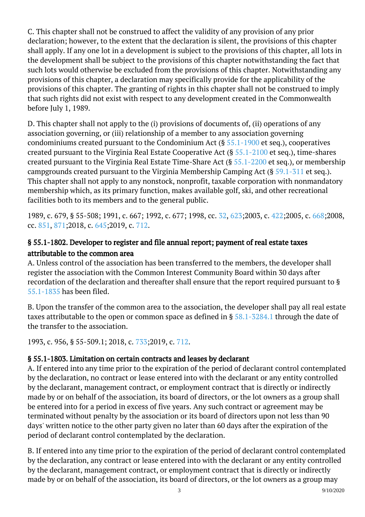C. This chapter shall not be construed to affect the validity of any provision of any prior declaration; however, to the extent that the declaration is silent, the provisions of this chapter shall apply. If any one lot in a development is subject to the provisions of this chapter, all lots in the development shall be subject to the provisions of this chapter notwithstanding the fact that such lots would otherwise be excluded from the provisions of this chapter. Notwithstanding any provisions of this chapter, a declaration may specifically provide for the applicability of the provisions of this chapter. The granting of rights in this chapter shall not be construed to imply that such rights did not exist with respect to any development created in the Commonwealth before July 1, 1989.

D. This chapter shall not apply to the (i) provisions of documents of, (ii) operations of any association governing, or (iii) relationship of a member to any association governing condominiums created pursuant to the Condominium Act ( $\S$  [55.1-1900](/vacode/55.1-1900/) et seq.), cooperatives created pursuant to the Virginia Real Estate Cooperative Act (§ [55.1-2100](/vacode/55.1-2100/) et seq.), time-shares created pursuant to the Virginia Real Estate Time-Share Act (§ [55.1-2200](/vacode/55.1-2200/) et seq.), or membership campgrounds created pursuant to the Virginia Membership Camping Act (§ [59.1-311](/vacode/59.1-311/) et seq.). This chapter shall not apply to any nonstock, nonprofit, taxable corporation with nonmandatory membership which, as its primary function, makes available golf, ski, and other recreational facilities both to its members and to the general public.

1989, c. 679, § 55-508; 1991, c. 667; 1992, c. 677; 1998, cc. [32](http://lis.virginia.gov/cgi-bin/legp604.exe?981+ful+CHAP0032), [623;2](http://lis.virginia.gov/cgi-bin/legp604.exe?981+ful+CHAP0623)003, c. [422;2](http://lis.virginia.gov/cgi-bin/legp604.exe?031+ful+CHAP0422)005, c. [668;2](http://lis.virginia.gov/cgi-bin/legp604.exe?051+ful+CHAP0668)008, cc. [851,](http://lis.virginia.gov/cgi-bin/legp604.exe?081+ful+CHAP0851) [871;](http://lis.virginia.gov/cgi-bin/legp604.exe?081+ful+CHAP0871)2018, c. [645;](http://lis.virginia.gov/cgi-bin/legp604.exe?181+ful+CHAP0645)2019, c. [712.](http://lis.virginia.gov/cgi-bin/legp604.exe?191+ful+CHAP0712)

## § 55.1-1802. Developer to register and file annual report; payment of real estate taxes attributable to the common area

A. Unless control of the association has been transferred to the members, the developer shall register the association with the Common Interest Community Board within 30 days after recordation of the declaration and thereafter shall ensure that the report required pursuant to § [55.1-1835](/vacode/55.1-1835/) has been filed.

B. Upon the transfer of the common area to the association, the developer shall pay all real estate taxes attributable to the open or common space as defined in  $\S 58.1-5284.1$  through the date of the transfer to the association.

1993, c. 956, § 55-509.1; 2018, c. [733;](http://lis.virginia.gov/cgi-bin/legp604.exe?181+ful+CHAP0733)2019, c. [712](http://lis.virginia.gov/cgi-bin/legp604.exe?191+ful+CHAP0712).

## § 55.1-1803. Limitation on certain contracts and leases by declarant

A. If entered into any time prior to the expiration of the period of declarant control contemplated by the declaration, no contract or lease entered into with the declarant or any entity controlled by the declarant, management contract, or employment contract that is directly or indirectly made by or on behalf of the association, its board of directors, or the lot owners as a group shall be entered into for a period in excess of five years. Any such contract or agreement may be terminated without penalty by the association or its board of directors upon not less than 90 days' written notice to the other party given no later than 60 days after the expiration of the period of declarant control contemplated by the declaration. <sup>"</sup>

B. If entered into any time prior to the expiration of the period of declarant control contemplated by the declaration, any contract or lease entered into with the declarant or any entity controlled by the declarant, management contract, or employment contract that is directly or indirectly made by or on behalf of the association, its board of directors, or the lot owners as a group may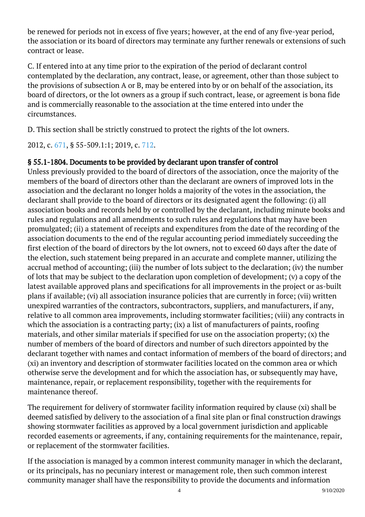be renewed for periods not in excess of five years; however, at the end of any five-year period, the association or its board of directors may terminate any further renewals or extensions of such contract or lease.

C. If entered into at any time prior to the expiration of the period of declarant control contemplated by the declaration, any contract, lease, or agreement, other than those subject to the provisions of subsection A or B, may be entered into by or on behalf of the association, its board of directors, or the lot owners as a group if such contract, lease, or agreement is bona fide and is commercially reasonable to the association at the time entered into under the circumstances.

D. This section shall be strictly construed to protect the rights of the lot owners.

2012, c. [671,](http://lis.virginia.gov/cgi-bin/legp604.exe?121+ful+CHAP0671) § 55-509.1:1; 2019, c. [712](http://lis.virginia.gov/cgi-bin/legp604.exe?191+ful+CHAP0712).

## § 55.1-1804. Documents to be provided by declarant upon transfer of control

Unless previously provided to the board of directors of the association, once the majority of the members of the board of directors other than the declarant are owners of improved lots in the association and the declarant no longer holds a majority of the votes in the association, the declarant shall provide to the board of directors or its designated agent the following: (i) all association books and records held by or controlled by the declarant, including minute books and rules and regulations and all amendments to such rules and regulations that may have been promulgated; (ii) a statement of receipts and expenditures from the date of the recording of the association documents to the end of the regular accounting period immediately succeeding the first election of the board of directors by the lot owners, not to exceed 60 days after the date of the election, such statement being prepared in an accurate and complete manner, utilizing the accrual method of accounting; (iii) the number of lots subject to the declaration; (iv) the number of lots that may be subject to the declaration upon completion of development; (v) a copy of the latest available approved plans and specifications for all improvements in the project or as-built plans if available; (vi) all association insurance policies that are currently in force; (vii) written unexpired warranties of the contractors, subcontractors, suppliers, and manufacturers, if any, relative to all common area improvements, including stormwater facilities; (viii) any contracts in which the association is a contracting party; (ix) a list of manufacturers of paints, roofing materials, and other similar materials if specified for use on the association property; (x) the number of members of the board of directors and number of such directors appointed by the declarant together with names and contact information of members of the board of directors; and (xi) an inventory and description of stormwater facilities located on the common area or which otherwise serve the development and for which the association has, or subsequently may have, maintenance, repair, or replacement responsibility, together with the requirements for maintenance thereof.

The requirement for delivery of stormwater facility information required by clause (xi) shall be deemed satisfied by delivery to the association of a final site plan or final construction drawings showing stormwater facilities as approved by a local government jurisdiction and applicable recorded easements or agreements, if any, containing requirements for the maintenance, repair, or replacement of the stormwater facilities.

If the association is managed by a common interest community manager in which the declarant, or its principals, has no pecuniary interest or management role, then such common interest community manager shall have the responsibility to provide the documents and information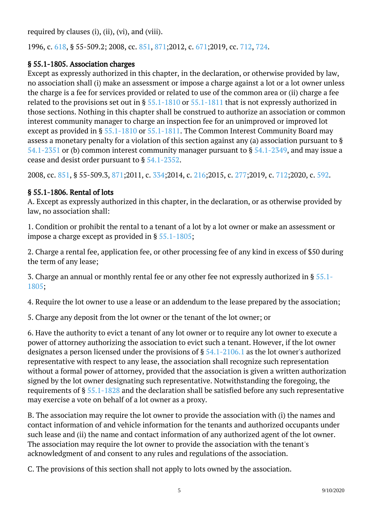required by clauses (i), (ii), (vi), and (viii).

1996, c. [618,](http://lis.virginia.gov/cgi-bin/legp604.exe?961+ful+CHAP0618) § 55-509.2; 2008, cc. [851,](http://lis.virginia.gov/cgi-bin/legp604.exe?081+ful+CHAP0851) [871;](http://lis.virginia.gov/cgi-bin/legp604.exe?081+ful+CHAP0871)2012, c. [671;](http://lis.virginia.gov/cgi-bin/legp604.exe?121+ful+CHAP0671)2019, cc. [712,](http://lis.virginia.gov/cgi-bin/legp604.exe?191+ful+CHAP0712) [724](http://lis.virginia.gov/cgi-bin/legp604.exe?191+ful+CHAP0724).

#### § 55.1-1805. Association charges

Except as expressly authorized in this chapter, in the declaration, or otherwise provided by law, no association shall (i) make an assessment or impose a charge against a lot or a lot owner unless the charge is a fee for services provided or related to use of the common area or (ii) charge a fee related to the provisions set out in §  $55.1-1810$  or  $55.1-1811$  that is not expressly authorized in those sections. Nothing in this chapter shall be construed to authorize an association or common interest community manager to charge an inspection fee for an unimproved or improved lot except as provided in § [55.1-1810](/vacode/55.1-1810/) or [55.1-1811.](/vacode/55.1-1811/) The Common Interest Community Board may assess a monetary penalty for a violation of this section against any (a) association pursuant to § [54.1-2351](/vacode/54.1-2351/) or (b) common interest community manager pursuant to  $\S$  [54.1-2349,](/vacode/54.1-2349/) and may issue a cease and desist order pursuant to § [54.1-2352.](/vacode/54.1-2352/)

2008, cc. [851,](http://lis.virginia.gov/cgi-bin/legp604.exe?081+ful+CHAP0851) § 55-509.3, [871;](http://lis.virginia.gov/cgi-bin/legp604.exe?081+ful+CHAP0871)2011, c. [334;](http://lis.virginia.gov/cgi-bin/legp604.exe?111+ful+CHAP0334)2014, c. [216;](http://lis.virginia.gov/cgi-bin/legp604.exe?141+ful+CHAP0216)2015, c. [277;](http://lis.virginia.gov/cgi-bin/legp604.exe?151+ful+CHAP0277)2019, c. [712;](http://lis.virginia.gov/cgi-bin/legp604.exe?191+ful+CHAP0712)2020, c. [592](http://lis.virginia.gov/cgi-bin/legp604.exe?201+ful+CHAP0592).

### § 55.1-1806. Rental of lots

A. Except as expressly authorized in this chapter, in the declaration, or as otherwise provided by law, no association shall:

1. Condition or prohibit the rental to a tenant of a lot by a lot owner or make an assessment or impose a charge except as provided in §  $55.1$ - $1805;$ 

2. Charge a rental fee, application fee, or other processing fee of any kind in excess of \$50 during the term of any lease;

3. Charge an annual or monthly rental fee or any other fee not expressly authorized in § [55.1-](/vacode/55.1-1805/) [1805;](/vacode/55.1-1805/)

4. Require the lot owner to use a lease or an addendum to the lease prepared by the association;

5. Charge any deposit from the lot owner or the tenant of the lot owner; or I

6. Have the authority to evict a tenant of any lot owner or to require any lot owner to execute a power of attorney authorizing the association to evict such a tenant. However, if the lot owner designates a person licensed under the provisions of § [54.1-2106.1](/vacode/54.1-2106.1/) as the lot owner's authorized representative with respect to any lease, the association shall recognize such representation without a formal power of attorney, provided that the association is given a written authorization signed by the lot owner designating such representative. Notwithstanding the foregoing, the requirements of § [55.1-1828](/vacode/55.1-1828/) and the declaration shall be satisfied before any such representative may exercise a vote on behalf of a lot owner as a proxy.

B. The association may require the lot owner to provide the association with (i) the names and contact information of and vehicle information for the tenants and authorized occupants under such lease and (ii) the name and contact information of any authorized agent of the lot owner. The association may require the lot owner to provide the association with the tenant's acknowledgment of and consent to any rules and regulations of the association. Ĩ

C. The provisions of this section shall not apply to lots owned by the association.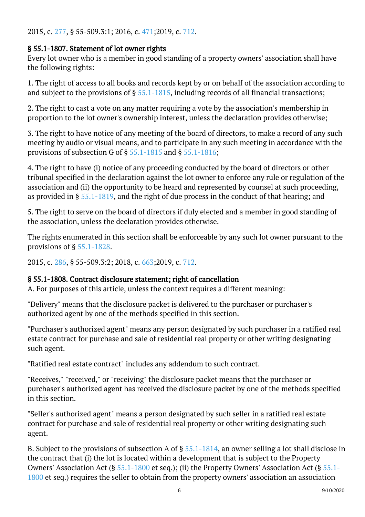#### 2015, c. [277,](http://lis.virginia.gov/cgi-bin/legp604.exe?151+ful+CHAP0277) § 55-509.3:1; 2016, c. [471;](http://lis.virginia.gov/cgi-bin/legp604.exe?161+ful+CHAP0471)2019, c. [712](http://lis.virginia.gov/cgi-bin/legp604.exe?191+ful+CHAP0712).

### § 55.1-1807. Statement of lot owner rights

Every lot owner who is a member in good standing of a property owners' association shall have the following rights:

1. The right of access to all books and records kept by or on behalf of the association according to and subject to the provisions of  $\S$  [55.1-1815,](/vacode/55.1-1815/) including records of all financial transactions; Ĩ

2. The right to cast a vote on any matter requiring a vote by the association's membership in proportion to the lot owner's ownership interest, unless the declaration provides otherwise; <sup>"</sup>

3. The right to have notice of any meeting of the board of directors, to make a record of any such meeting by audio or visual means, and to participate in any such meeting in accordance with the provisions of subsection G of § [55.1-1815](/vacode/55.1-1815/) and § [55.1-1816;](/vacode/55.1-1816/) <sup>"</sup>

4. The right to have (i) notice of any proceeding conducted by the board of directors or other tribunal specified in the declaration against the lot owner to enforce any rule or regulation of the association and (ii) the opportunity to be heard and represented by counsel at such proceeding, as provided in § [55.1-1819](/vacode/55.1-1819/), and the right of due process in the conduct of that hearing; and Ĩ

5. The right to serve on the board of directors if duly elected and a member in good standing of the association, unless the declaration provides otherwise.

The rights enumerated in this section shall be enforceable by any such lot owner pursuant to the provisions of § [55.1-1828.](/vacode/55.1-1828/) <sup>"</sup>

2015, c. [286,](http://lis.virginia.gov/cgi-bin/legp604.exe?151+ful+CHAP0286) § 55-509.3:2; 2018, c. [663;](http://lis.virginia.gov/cgi-bin/legp604.exe?181+ful+CHAP0663)2019, c. [712](http://lis.virginia.gov/cgi-bin/legp604.exe?191+ful+CHAP0712).

#### § 55.1-1808. Contract disclosure statement; right of cancellation

A. For purposes of this article, unless the context requires a different meaning:

"Delivery" means that the disclosure packet is delivered to the purchaser or purchaser's authorized agent by one of the methods specified in this section. Ĩ

"Purchaser's authorized agent" means any person designated by such purchaser in a ratified real estate contract for purchase and sale of residential real property or other writing designating such agent.

"Ratified real estate contract" includes any addendum to such contract.

"Receives," "received," or "receiving" the disclosure packet means that the purchaser or purchaser's authorized agent has received the disclosure packet by one of the methods specified in this section.

"Seller's authorized agent" means a person designated by such seller in a ratified real estate contract for purchase and sale of residential real property or other writing designating such agent.

B. Subject to the provisions of subsection A of § [55.1-1814,](/vacode/55.1-1814/) an owner selling a lot shall disclose in the contract that (i) the lot is located within a development that is subject to the Property Owners' Association Act (§ [55.1-1800](/vacode/55.1-1800/) et seq.); (ii) the Property Owners' Association Act (§ [55.1-](/vacode/55.1-1800/) [1800](/vacode/55.1-1800/) et seq.) requires the seller to obtain from the property owners' association an association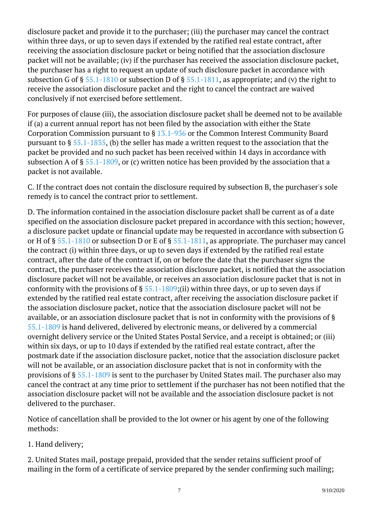disclosure packet and provide it to the purchaser; (iii) the purchaser may cancel the contract within three days, or up to seven days if extended by the ratified real estate contract, after receiving the association disclosure packet or being notified that the association disclosure packet will not be available; (iv) if the purchaser has received the association disclosure packet, the purchaser has a right to request an update of such disclosure packet in accordance with subsection G of §  $55.1-1810$  or subsection D of §  $55.1-1811$ , as appropriate; and (v) the right to receive the association disclosure packet and the right to cancel the contract are waived conclusively if not exercised before settlement.

For purposes of clause (iii), the association disclosure packet shall be deemed not to be available if (a) a current annual report has not been filed by the association with either the State Corporation Commission pursuant to § [13.1-936](/vacode/13.1-936/) or the Common Interest Community Board pursuant to § [55.1-1835](/vacode/55.1-1835/), (b) the seller has made a written request to the association that the packet be provided and no such packet has been received within 14 days in accordance with subsection A of §  $55.1-1809$ , or (c) written notice has been provided by the association that a packet is not available. <u>i</u>

C. If the contract does not contain the disclosure required by subsection B, the purchaser's sole remedy is to cancel the contract prior to settlement.

D. The information contained in the association disclosure packet shall be current as of a date specified on the association disclosure packet prepared in accordance with this section; however, a disclosure packet update or financial update may be requested in accordance with subsection G or H of § [55.1-1810](/vacode/55.1-1810/) or subsection D or E of § [55.1-1811,](/vacode/55.1-1811/) as appropriate. The purchaser may cancel the contract (i) within three days, or up to seven days if extended by the ratified real estate contract, after the date of the contract if, on or before the date that the purchaser signs the contract, the purchaser receives the association disclosure packet, is notified that the association disclosure packet will not be available, or receives an association disclosure packet that is not in conformity with the provisions of  $\S 55.1-1809$ ;(ii) within three days, or up to seven days if extended by the ratified real estate contract, after receiving the association disclosure packet if the association disclosure packet, notice that the association disclosure packet will not be available, or an association disclosure packet that is not in conformity with the provisions of § [55.1-1809](/vacode/55.1-1809/) is hand delivered, delivered by electronic means, or delivered by a commercial overnight delivery service or the United States Postal Service, and a receipt is obtained; or (iii) within six days, or up to 10 days if extended by the ratified real estate contract, after the postmark date if the association disclosure packet, notice that the association disclosure packet will not be available, or an association disclosure packet that is not in conformity with the provisions of § [55.1-1809](/vacode/55.1-1809/) is sent to the purchaser by United States mail. The purchaser also may cancel the contract at any time prior to settlement if the purchaser has not been notified that the association disclosure packet will not be available and the association disclosure packet is not delivered to the purchaser.

Notice of cancellation shall be provided to the lot owner or his agent by one of the following methods:

1. Hand delivery;

2. United States mail, postage prepaid, provided that the sender retains sufficient proof of mailing in the form of a certificate of service prepared by the sender confirming such mailing;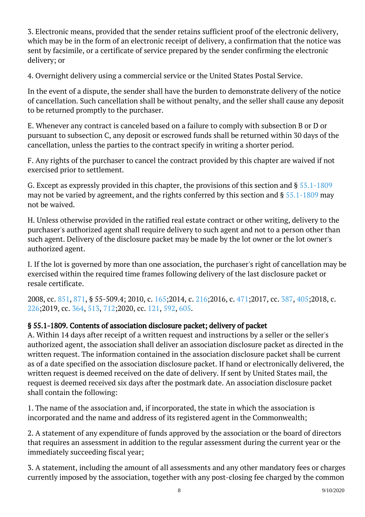3. Electronic means, provided that the sender retains sufficient proof of the electronic delivery, which may be in the form of an electronic receipt of delivery, a confirmation that the notice was sent by facsimile, or a certificate of service prepared by the sender confirming the electronic delivery; or

4. Overnight delivery using a commercial service or the United States Postal Service.

In the event of a dispute, the sender shall have the burden to demonstrate delivery of the notice of cancellation. Such cancellation shall be without penalty, and the seller shall cause any deposit to be returned promptly to the purchaser.

E. Whenever any contract is canceled based on a failure to comply with subsection B or D or pursuant to subsection C, any deposit or escrowed funds shall be returned within 30 days of the cancellation, unless the parties to the contract specify in writing a shorter period.

F. Any rights of the purchaser to cancel the contract provided by this chapter are waived if not exercised prior to settlement.

G. Except as expressly provided in this chapter, the provisions of this section and § [55.1-1809](/vacode/55.1-1809/) may not be varied by agreement, and the rights conferred by this section and § [55.1-1809](/vacode/55.1-1809/) may not be waived.

H. Unless otherwise provided in the ratified real estate contract or other writing, delivery to the purchaser's authorized agent shall require delivery to such agent and not to a person other than such agent. Delivery of the disclosure packet may be made by the lot owner or the lot owner's authorized agent.

I. If the lot is governed by more than one association, the purchaser's right of cancellation may be exercised within the required time frames following delivery of the last disclosure packet or resale certificate.

2008, cc. [851,](http://lis.virginia.gov/cgi-bin/legp604.exe?081+ful+CHAP0851) [871](http://lis.virginia.gov/cgi-bin/legp604.exe?081+ful+CHAP0871), § 55-509.4; 2010, c. [165;](http://lis.virginia.gov/cgi-bin/legp604.exe?101+ful+CHAP0165)2014, c. [216;](http://lis.virginia.gov/cgi-bin/legp604.exe?141+ful+CHAP0216)2016, c. [471;](http://lis.virginia.gov/cgi-bin/legp604.exe?161+ful+CHAP0471)2017, cc. [387,](http://lis.virginia.gov/cgi-bin/legp604.exe?171+ful+CHAP0387) [405;](http://lis.virginia.gov/cgi-bin/legp604.exe?171+ful+CHAP0405)2018, c. [226;](http://lis.virginia.gov/cgi-bin/legp604.exe?181+ful+CHAP0226)2019, cc. [364,](http://lis.virginia.gov/cgi-bin/legp604.exe?191+ful+CHAP0364) [513](http://lis.virginia.gov/cgi-bin/legp604.exe?191+ful+CHAP0513), [712;2](http://lis.virginia.gov/cgi-bin/legp604.exe?191+ful+CHAP0712)020, cc. [121](http://lis.virginia.gov/cgi-bin/legp604.exe?201+ful+CHAP0121), [592,](http://lis.virginia.gov/cgi-bin/legp604.exe?201+ful+CHAP0592) [605](http://lis.virginia.gov/cgi-bin/legp604.exe?201+ful+CHAP0605).

## § 55.1-1809. Contents of association disclosure packet; delivery of packet

A. Within 14 days after receipt of a written request and instructions by a seller or the seller's authorized agent, the association shall deliver an association disclosure packet as directed in the written request. The information contained in the association disclosure packet shall be current as of a date specified on the association disclosure packet. If hand or electronically delivered, the written request is deemed received on the date of delivery. If sent by United States mail, the request is deemed received six days after the postmark date. An association disclosure packet shall contain the following:

1. The name of the association and, if incorporated, the state in which the association is incorporated and the name and address of its registered agent in the Commonwealth;

2. A statement of any expenditure of funds approved by the association or the board of directors that requires an assessment in addition to the regular assessment during the current year or the immediately succeeding fiscal year;

3. A statement, including the amount of all assessments and any other mandatory fees or charges currently imposed by the association, together with any post-closing fee charged by the common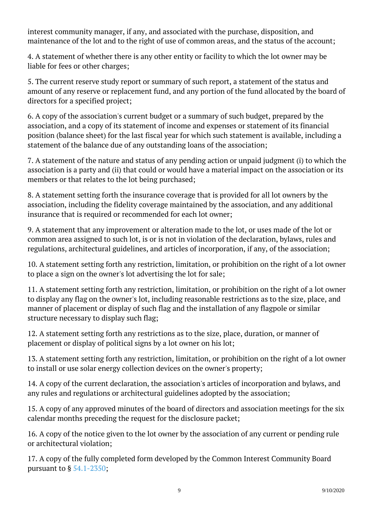interest community manager, if any, and associated with the purchase, disposition, and maintenance of the lot and to the right of use of common areas, and the status of the account;

4. A statement of whether there is any other entity or facility to which the lot owner may be liable for fees or other charges;

5. The current reserve study report or summary of such report, a statement of the status and amount of any reserve or replacement fund, and any portion of the fund allocated by the board of directors for a specified project;

6. A copy of the association's current budget or a summary of such budget, prepared by the association, and a copy of its statement of income and expenses or statement of its financial position (balance sheet) for the last fiscal year for which such statement is available, including a statement of the balance due of any outstanding loans of the association; Ĩ

7. A statement of the nature and status of any pending action or unpaid judgment (i) to which the association is a party and (ii) that could or would have a material impact on the association or its members or that relates to the lot being purchased;

8. A statement setting forth the insurance coverage that is provided for all lot owners by the association, including the fidelity coverage maintained by the association, and any additional insurance that is required or recommended for each lot owner;

9. A statement that any improvement or alteration made to the lot, or uses made of the lot or common area assigned to such lot, is or is not in violation of the declaration, bylaws, rules and regulations, architectural guidelines, and articles of incorporation, if any, of the association;

10. A statement setting forth any restriction, limitation, or prohibition on the right of a lot owner to place a sign on the owner's lot advertising the lot for sale;

11. A statement setting forth any restriction, limitation, or prohibition on the right of a lot owner to display any flag on the owner's lot, including reasonable restrictions as to the size, place, and manner of placement or display of such flag and the installation of any flagpole or similar structure necessary to display such flag; Ĩ

12. A statement setting forth any restrictions as to the size, place, duration, or manner of placement or display of political signs by a lot owner on his lot; <sup>"</sup>

13. A statement setting forth any restriction, limitation, or prohibition on the right of a lot owner to install or use solar energy collection devices on the owner's property;

14. A copy of the current declaration, the association's articles of incorporation and bylaws, and any rules and regulations or architectural guidelines adopted by the association; Ĩ

15. A copy of any approved minutes of the board of directors and association meetings for the six calendar months preceding the request for the disclosure packet;

16. A copy of the notice given to the lot owner by the association of any current or pending rule or architectural violation;

17. A copy of the fully completed form developed by the Common Interest Community Board pursuant to § [54.1-2350](/vacode/54.1-2350/); <sup>"</sup>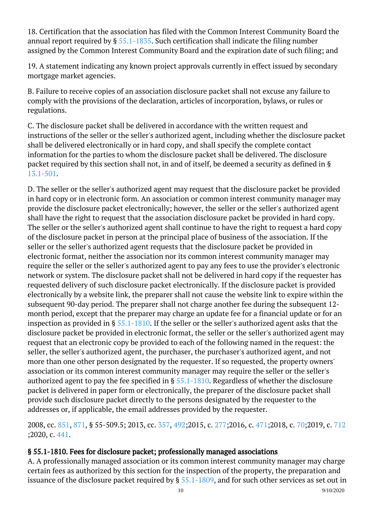18. Certification that the association has filed with the Common Interest Community Board the annual report required by  $\S$  [55.1-1835.](/vacode/55.1-1835/) Such certification shall indicate the filing number assigned by the Common Interest Community Board and the expiration date of such filing; and Ĩ

19. A statement indicating any known project approvals currently in effect issued by secondary mortgage market agencies.

B. Failure to receive copies of an association disclosure packet shall not excuse any failure to comply with the provisions of the declaration, articles of incorporation, bylaws, or rules or regulations.

C. The disclosure packet shall be delivered in accordance with the written request and instructions of the seller or the seller's authorized agent, including whether the disclosure packet shall be delivered electronically or in hard copy, and shall specify the complete contact information for the parties to whom the disclosure packet shall be delivered. The disclosure packet required by this section shall not, in and of itself, be deemed a security as defined in § [13.1-501.](/vacode/13.1-501/)

D. The seller or the seller's authorized agent may request that the disclosure packet be provided in hard copy or in electronic form. An association or common interest community manager may provide the disclosure packet electronically; however, the seller or the seller's authorized agent shall have the right to request that the association disclosure packet be provided in hard copy. The seller or the seller's authorized agent shall continue to have the right to request a hard copy of the disclosure packet in person at the principal place of business of the association. If the seller or the seller's authorized agent requests that the disclosure packet be provided in electronic format, neither the association nor its common interest community manager may require the seller or the seller's authorized agent to pay any fees to use the provider's electronic network or system. The disclosure packet shall not be delivered in hard copy if the requester has requested delivery of such disclosure packet electronically. If the disclosure packet is provided electronically by a website link, the preparer shall not cause the website link to expire within the subsequent 90-day period. The preparer shall not charge another fee during the subsequent 12 month period, except that the preparer may charge an update fee for a financial update or for an inspection as provided in § [55.1-1810](/vacode/55.1-1810/). If the seller or the seller's authorized agent asks that the disclosure packet be provided in electronic format, the seller or the seller's authorized agent may request that an electronic copy be provided to each of the following named in the request: the seller, the seller's authorized agent, the purchaser, the purchaser's authorized agent, and not more than one other person designated by the requester. If so requested, the property owners' association or its common interest community manager may require the seller or the seller's authorized agent to pay the fee specified in § [55.1-1810.](/vacode/55.1-1810/) Regardless of whether the disclosure packet is delivered in paper form or electronically, the preparer of the disclosure packet shall provide such disclosure packet directly to the persons designated by the requester to the addresses or, if applicable, the email addresses provided by the requester. Ĩ

2008, cc. [851,](http://lis.virginia.gov/cgi-bin/legp604.exe?081+ful+CHAP0851) [871](http://lis.virginia.gov/cgi-bin/legp604.exe?081+ful+CHAP0871), § 55-509.5; 2013, cc. [357,](http://lis.virginia.gov/cgi-bin/legp604.exe?131+ful+CHAP0357) [492;](http://lis.virginia.gov/cgi-bin/legp604.exe?131+ful+CHAP0492)2015, c. [277;](http://lis.virginia.gov/cgi-bin/legp604.exe?151+ful+CHAP0277)2016, c. [471;](http://lis.virginia.gov/cgi-bin/legp604.exe?161+ful+CHAP0471)2018, c. [70;2](http://lis.virginia.gov/cgi-bin/legp604.exe?181+ful+CHAP0070)019, c. [712](http://lis.virginia.gov/cgi-bin/legp604.exe?191+ful+CHAP0712) [;2](http://lis.virginia.gov/cgi-bin/legp604.exe?191+ful+CHAP0712)020, c. [441.](http://lis.virginia.gov/cgi-bin/legp604.exe?201+ful+CHAP0441)  $\overline{a}$ 

#### § 55.1-1810. Fees for disclosure packet; professionally managed associations

A. A professionally managed association or its common interest community manager may charge certain fees as authorized by this section for the inspection of the property, the preparation and issuance of the disclosure packet required by § [55.1-1809,](/vacode/55.1-1809/) and for such other services as set out in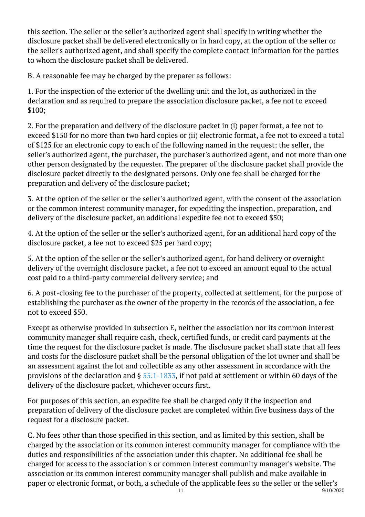this section. The seller or the seller's authorized agent shall specify in writing whether the disclosure packet shall be delivered electronically or in hard copy, at the option of the seller or the seller's authorized agent, and shall specify the complete contact information for the parties to whom the disclosure packet shall be delivered.

B. A reasonable fee may be charged by the preparer as follows:

1. For the inspection of the exterior of the dwelling unit and the lot, as authorized in the declaration and as required to prepare the association disclosure packet, a fee not to exceed \$100;

2. For the preparation and delivery of the disclosure packet in (i) paper format, a fee not to exceed \$150 for no more than two hard copies or (ii) electronic format, a fee not to exceed a total of \$125 for an electronic copy to each of the following named in the request: the seller, the seller's authorized agent, the purchaser, the purchaser's authorized agent, and not more than one other person designated by the requester. The preparer of the disclosure packet shall provide the disclosure packet directly to the designated persons. Only one fee shall be charged for the preparation and delivery of the disclosure packet; <sup>"</sup>

3. At the option of the seller or the seller's authorized agent, with the consent of the association or the common interest community manager, for expediting the inspection, preparation, and delivery of the disclosure packet, an additional expedite fee not to exceed \$50;

4. At the option of the seller or the seller's authorized agent, for an additional hard copy of the disclosure packet, a fee not to exceed \$25 per hard copy;

5. At the option of the seller or the seller's authorized agent, for hand delivery or overnight delivery of the overnight disclosure packet, a fee not to exceed an amount equal to the actual cost paid to a third-party commercial delivery service; and

6. A post-closing fee to the purchaser of the property, collected at settlement, for the purpose of establishing the purchaser as the owner of the property in the records of the association, a fee not to exceed \$50.

Except as otherwise provided in subsection E, neither the association nor its common interest community manager shall require cash, check, certified funds, or credit card payments at the time the request for the disclosure packet is made. The disclosure packet shall state that all fees and costs for the disclosure packet shall be the personal obligation of the lot owner and shall be an assessment against the lot and collectible as any other assessment in accordance with the provisions of the declaration and § [55.1-1833](/vacode/55.1-1833/), if not paid at settlement or within 60 days of the delivery of the disclosure packet, whichever occurs first.

For purposes of this section, an expedite fee shall be charged only if the inspection and preparation of delivery of the disclosure packet are completed within five business days of the request for a disclosure packet.

C. No fees other than those specified in this section, and as limited by this section, shall be charged by the association or its common interest community manager for compliance with the duties and responsibilities of the association under this chapter. No additional fee shall be charged for access to the association's or common interest community manager's website. The association or its common interest community manager shall publish and make available in paper or electronic format, or both, a schedule of the applicable fees so the seller or the seller's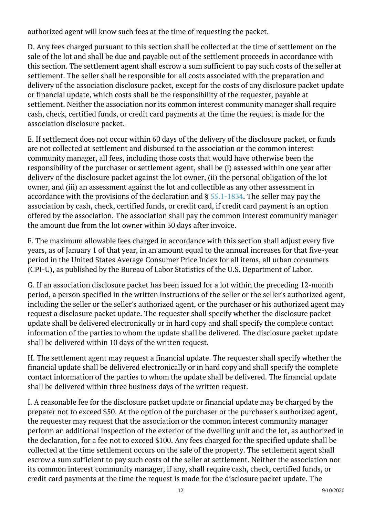authorized agent will know such fees at the time of requesting the packet. Ĩ

D. Any fees charged pursuant to this section shall be collected at the time of settlement on the sale of the lot and shall be due and payable out of the settlement proceeds in accordance with this section. The settlement agent shall escrow a sum sufficient to pay such costs of the seller at settlement. The seller shall be responsible for all costs associated with the preparation and delivery of the association disclosure packet, except for the costs of any disclosure packet update or financial update, which costs shall be the responsibility of the requester, payable at settlement. Neither the association nor its common interest community manager shall require cash, check, certified funds, or credit card payments at the time the request is made for the association disclosure packet. Ĩ

E. If settlement does not occur within 60 days of the delivery of the disclosure packet, or funds are not collected at settlement and disbursed to the association or the common interest community manager, all fees, including those costs that would have otherwise been the responsibility of the purchaser or settlement agent, shall be (i) assessed within one year after delivery of the disclosure packet against the lot owner, (ii) the personal obligation of the lot owner, and (iii) an assessment against the lot and collectible as any other assessment in accordance with the provisions of the declaration and  $\S$  [55.1-1834](/vacode/55.1-1834/). The seller may pay the association by cash, check, certified funds, or credit card, if credit card payment is an option offered by the association. The association shall pay the common interest community manager the amount due from the lot owner within 30 days after invoice.

F. The maximum allowable fees charged in accordance with this section shall adjust every five years, as of January 1 of that year, in an amount equal to the annual increases for that five-year period in the United States Average Consumer Price Index for all items, all urban consumers (CPI-U), as published by the Bureau of Labor Statistics of the U.S. Department of Labor. Ì

G. If an association disclosure packet has been issued for a lot within the preceding 12-month period, a person specified in the written instructions of the seller or the seller's authorized agent, including the seller or the seller's authorized agent, or the purchaser or his authorized agent may request a disclosure packet update. The requester shall specify whether the disclosure packet update shall be delivered electronically or in hard copy and shall specify the complete contact information of the parties to whom the update shall be delivered. The disclosure packet update shall be delivered within 10 days of the written request. Ĩ

H. The settlement agent may request a financial update. The requester shall specify whether the financial update shall be delivered electronically or in hard copy and shall specify the complete contact information of the parties to whom the update shall be delivered. The financial update shall be delivered within three business days of the written request. Ĩ

I. A reasonable fee for the disclosure packet update or financial update may be charged by the preparer not to exceed \$50. At the option of the purchaser or the purchaser's authorized agent, the requester may request that the association or the common interest community manager perform an additional inspection of the exterior of the dwelling unit and the lot, as authorized in the declaration, for a fee not to exceed \$100. Any fees charged for the specified update shall be collected at the time settlement occurs on the sale of the property. The settlement agent shall escrow a sum sufficient to pay such costs of the seller at settlement. Neither the association nor its common interest community manager, if any, shall require cash, check, certified funds, or credit card payments at the time the request is made for the disclosure packet update. The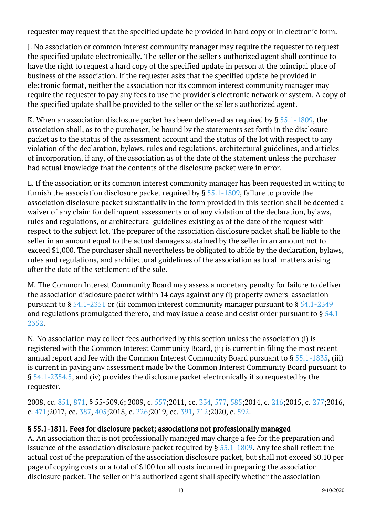requester may request that the specified update be provided in hard copy or in electronic form.

J. No association or common interest community manager may require the requester to request the specified update electronically. The seller or the seller's authorized agent shall continue to have the right to request a hard copy of the specified update in person at the principal place of business of the association. If the requester asks that the specified update be provided in electronic format, neither the association nor its common interest community manager may require the requester to pay any fees to use the provider's electronic network or system. A copy of the specified update shall be provided to the seller or the seller's authorized agent.

K. When an association disclosure packet has been delivered as required by  $\S$  [55.1-1809,](/vacode/55.1-1809/) the association shall, as to the purchaser, be bound by the statements set forth in the disclosure packet as to the status of the assessment account and the status of the lot with respect to any violation of the declaration, bylaws, rules and regulations, architectural guidelines, and articles of incorporation, if any, of the association as of the date of the statement unless the purchaser had actual knowledge that the contents of the disclosure packet were in error.

L. If the association or its common interest community manager has been requested in writing to furnish the association disclosure packet required by § [55.1-1809,](/vacode/55.1-1809/) failure to provide the association disclosure packet substantially in the form provided in this section shall be deemed a waiver of any claim for delinquent assessments or of any violation of the declaration, bylaws, rules and regulations, or architectural guidelines existing as of the date of the request with respect to the subject lot. The preparer of the association disclosure packet shall be liable to the seller in an amount equal to the actual damages sustained by the seller in an amount not to exceed \$1,000. The purchaser shall nevertheless be obligated to abide by the declaration, bylaws, rules and regulations, and architectural guidelines of the association as to all matters arising after the date of the settlement of the sale. Ĩ

M. The Common Interest Community Board may assess a monetary penalty for failure to deliver the association disclosure packet within 14 days against any (i) property owners' association pursuant to  $\S$  [54.1-2351](/vacode/54.1-2351/) or (ii) common interest community manager pursuant to  $\S$  [54.1-2349](/vacode/54.1-2349/) and regulations promulgated thereto, and may issue a cease and desist order pursuant to § [54.1-](/vacode/54.1-2352/) [2352.](/vacode/54.1-2352/)

N. No association may collect fees authorized by this section unless the association (i) is registered with the Common Interest Community Board, (ii) is current in filing the most recent annual report and fee with the Common Interest Community Board pursuant to § [55.1-1835](/vacode/55.1-1835/), (iii) is current in paying any assessment made by the Common Interest Community Board pursuant to § [54.1-2354.5](/vacode/54.1-2354.5/), and (iv) provides the disclosure packet electronically if so requested by the requester.

2008, cc. [851,](http://lis.virginia.gov/cgi-bin/legp604.exe?081+ful+CHAP0851) [871](http://lis.virginia.gov/cgi-bin/legp604.exe?081+ful+CHAP0871), § 55-509.6; 2009, c. [557;](http://lis.virginia.gov/cgi-bin/legp604.exe?091+ful+CHAP0557)2011, cc. [334,](http://lis.virginia.gov/cgi-bin/legp604.exe?111+ful+CHAP0334) [577](http://lis.virginia.gov/cgi-bin/legp604.exe?111+ful+CHAP0577), [585;2](http://lis.virginia.gov/cgi-bin/legp604.exe?111+ful+CHAP0585)014, c. [216;2](http://lis.virginia.gov/cgi-bin/legp604.exe?141+ful+CHAP0216)015, c. [277;2](http://lis.virginia.gov/cgi-bin/legp604.exe?151+ful+CHAP0277)016, c. [471;](http://lis.virginia.gov/cgi-bin/legp604.exe?161+ful+CHAP0471)2017, cc. [387,](http://lis.virginia.gov/cgi-bin/legp604.exe?171+ful+CHAP0387) [405;](http://lis.virginia.gov/cgi-bin/legp604.exe?171+ful+CHAP0405)2018, c. [226;2](http://lis.virginia.gov/cgi-bin/legp604.exe?181+ful+CHAP0226)019, cc. [391,](http://lis.virginia.gov/cgi-bin/legp604.exe?191+ful+CHAP0391) [712;2](http://lis.virginia.gov/cgi-bin/legp604.exe?191+ful+CHAP0712)020, c. [592.](http://lis.virginia.gov/cgi-bin/legp604.exe?201+ful+CHAP0592)

#### § 55.1-1811. Fees for disclosure packet; associations not professionally managed

A. An association that is not professionally managed may charge a fee for the preparation and issuance of the association disclosure packet required by § [55.1-1809.](/vacode/55.1-1809/) Any fee shall reflect the actual cost of the preparation of the association disclosure packet, but shall not exceed \$0.10 per page of copying costs or a total of \$100 for all costs incurred in preparing the association disclosure packet. The seller or his authorized agent shall specify whether the association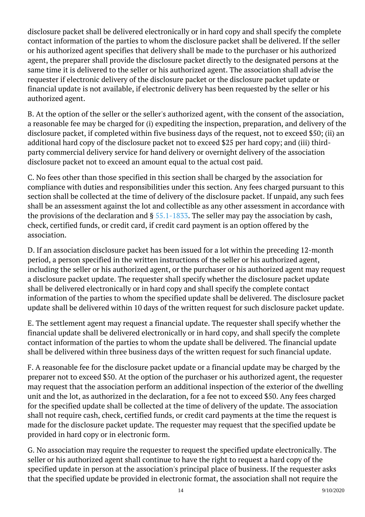disclosure packet shall be delivered electronically or in hard copy and shall specify the complete contact information of the parties to whom the disclosure packet shall be delivered. If the seller or his authorized agent specifies that delivery shall be made to the purchaser or his authorized agent, the preparer shall provide the disclosure packet directly to the designated persons at the same time it is delivered to the seller or his authorized agent. The association shall advise the requester if electronic delivery of the disclosure packet or the disclosure packet update or financial update is not available, if electronic delivery has been requested by the seller or his authorized agent. Ĩ

B. At the option of the seller or the seller's authorized agent, with the consent of the association, a reasonable fee may be charged for (i) expediting the inspection, preparation, and delivery of the disclosure packet, if completed within five business days of the request, not to exceed \$50; (ii) an additional hard copy of the disclosure packet not to exceed \$25 per hard copy; and (iii) thirdparty commercial delivery service for hand delivery or overnight delivery of the association disclosure packet not to exceed an amount equal to the actual cost paid.

C. No fees other than those specified in this section shall be charged by the association for compliance with duties and responsibilities under this section. Any fees charged pursuant to this section shall be collected at the time of delivery of the disclosure packet. If unpaid, any such fees shall be an assessment against the lot and collectible as any other assessment in accordance with the provisions of the declaration and § [55.1-1833.](/vacode/55.1-1833/) The seller may pay the association by cash, check, certified funds, or credit card, if credit card payment is an option offered by the association. Ĩ

D. If an association disclosure packet has been issued for a lot within the preceding 12-month period, a person specified in the written instructions of the seller or his authorized agent, including the seller or his authorized agent, or the purchaser or his authorized agent may request a disclosure packet update. The requester shall specify whether the disclosure packet update shall be delivered electronically or in hard copy and shall specify the complete contact information of the parties to whom the specified update shall be delivered. The disclosure packet update shall be delivered within 10 days of the written request for such disclosure packet update.

E. The settlement agent may request a financial update. The requester shall specify whether the financial update shall be delivered electronically or in hard copy, and shall specify the complete contact information of the parties to whom the update shall be delivered. The financial update shall be delivered within three business days of the written request for such financial update.

F. A reasonable fee for the disclosure packet update or a financial update may be charged by the preparer not to exceed \$50. At the option of the purchaser or his authorized agent, the requester may request that the association perform an additional inspection of the exterior of the dwelling unit and the lot, as authorized in the declaration, for a fee not to exceed \$50. Any fees charged for the specified update shall be collected at the time of delivery of the update. The association shall not require cash, check, certified funds, or credit card payments at the time the request is made for the disclosure packet update. The requester may request that the specified update be provided in hard copy or in electronic form. <sup>"</sup>

G. No association may require the requester to request the specified update electronically. The seller or his authorized agent shall continue to have the right to request a hard copy of the specified update in person at the association's principal place of business. If the requester asks that the specified update be provided in electronic format, the association shall not require the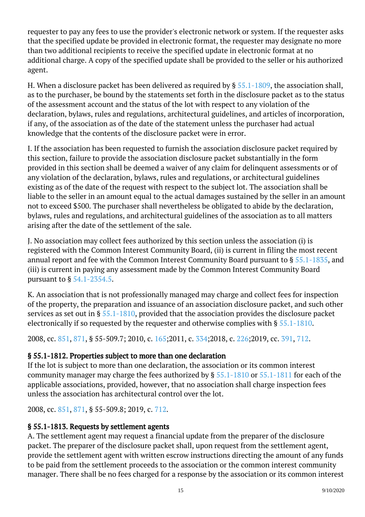requester to pay any fees to use the provider's electronic network or system. If the requester asks that the specified update be provided in electronic format, the requester may designate no more than two additional recipients to receive the specified update in electronic format at no additional charge. A copy of the specified update shall be provided to the seller or his authorized agent.

H. When a disclosure packet has been delivered as required by § [55.1-1809,](/vacode/55.1-1809/) the association shall, as to the purchaser, be bound by the statements set forth in the disclosure packet as to the status of the assessment account and the status of the lot with respect to any violation of the declaration, bylaws, rules and regulations, architectural guidelines, and articles of incorporation, if any, of the association as of the date of the statement unless the purchaser had actual knowledge that the contents of the disclosure packet were in error.

I. If the association has been requested to furnish the association disclosure packet required by this section, failure to provide the association disclosure packet substantially in the form provided in this section shall be deemed a waiver of any claim for delinquent assessments or of any violation of the declaration, bylaws, rules and regulations, or architectural guidelines existing as of the date of the request with respect to the subject lot. The association shall be liable to the seller in an amount equal to the actual damages sustained by the seller in an amount not to exceed \$500. The purchaser shall nevertheless be obligated to abide by the declaration, bylaws, rules and regulations, and architectural guidelines of the association as to all matters arising after the date of the settlement of the sale. Ĩ

J. No association may collect fees authorized by this section unless the association (i) is registered with the Common Interest Community Board, (ii) is current in filing the most recent annual report and fee with the Common Interest Community Board pursuant to § [55.1-1835](/vacode/55.1-1835/), and (iii) is current in paying any assessment made by the Common Interest Community Board pursuant to § [54.1-2354.5](/vacode/54.1-2354.5/). <sup>"</sup>

K. An association that is not professionally managed may charge and collect fees for inspection of the property, the preparation and issuance of an association disclosure packet, and such other services as set out in § [55.1-1810](/vacode/55.1-1810/), provided that the association provides the disclosure packet electronically if so requested by the requester and otherwise complies with §  $55.1$ -1810.

2008, cc. [851,](http://lis.virginia.gov/cgi-bin/legp604.exe?081+ful+CHAP0851) [871](http://lis.virginia.gov/cgi-bin/legp604.exe?081+ful+CHAP0871), § 55-509.7; 2010, c. [165;](http://lis.virginia.gov/cgi-bin/legp604.exe?101+ful+CHAP0165)2011, c. [334;](http://lis.virginia.gov/cgi-bin/legp604.exe?111+ful+CHAP0334)2018, c. [226;](http://lis.virginia.gov/cgi-bin/legp604.exe?181+ful+CHAP0226)2019, cc. [391,](http://lis.virginia.gov/cgi-bin/legp604.exe?191+ful+CHAP0391) [712](http://lis.virginia.gov/cgi-bin/legp604.exe?191+ful+CHAP0712).

## § 55.1-1812. Properties subject to more than one declaration

If the lot is subject to more than one declaration, the association or its common interest community manager may charge the fees authorized by § [55.1-1810](/vacode/55.1-1810/) or [55.1-1811](/vacode/55.1-1811/) for each of the applicable associations, provided, however, that no association shall charge inspection fees unless the association has architectural control over the lot.

2008, cc. [851,](http://lis.virginia.gov/cgi-bin/legp604.exe?081+ful+CHAP0851) [871](http://lis.virginia.gov/cgi-bin/legp604.exe?081+ful+CHAP0871), § 55-509.8; 2019, c. [712](http://lis.virginia.gov/cgi-bin/legp604.exe?191+ful+CHAP0712).

## § 55.1-1813. Requests by settlement agents

A. The settlement agent may request a financial update from the preparer of the disclosure packet. The preparer of the disclosure packet shall, upon request from the settlement agent, provide the settlement agent with written escrow instructions directing the amount of any funds to be paid from the settlement proceeds to the association or the common interest community manager. There shall be no fees charged for a response by the association or its common interest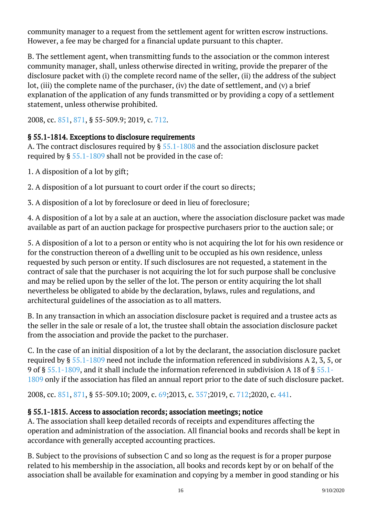community manager to a request from the settlement agent for written escrow instructions. However, a fee may be charged for a financial update pursuant to this chapter.

B. The settlement agent, when transmitting funds to the association or the common interest community manager, shall, unless otherwise directed in writing, provide the preparer of the disclosure packet with (i) the complete record name of the seller, (ii) the address of the subject lot, (iii) the complete name of the purchaser, (iv) the date of settlement, and (v) a brief explanation of the application of any funds transmitted or by providing a copy of a settlement statement, unless otherwise prohibited. Ĩ

2008, cc. [851,](http://lis.virginia.gov/cgi-bin/legp604.exe?081+ful+CHAP0851) [871](http://lis.virginia.gov/cgi-bin/legp604.exe?081+ful+CHAP0871), § 55-509.9; 2019, c. [712](http://lis.virginia.gov/cgi-bin/legp604.exe?191+ful+CHAP0712).

## § 55.1-1814. Exceptions to disclosure requirements

A. The contract disclosures required by § [55.1-1808](/vacode/55.1-1808/) and the association disclosure packet required by §  $55.1$ -1809 shall not be provided in the case of:

1. A disposition of a lot by gift;

2. A disposition of a lot pursuant to court order if the court so directs;

3. A disposition of a lot by foreclosure or deed in lieu of foreclosure;

4. A disposition of a lot by a sale at an auction, where the association disclosure packet was made available as part of an auction package for prospective purchasers prior to the auction sale; or Ĩ

5. A disposition of a lot to a person or entity who is not acquiring the lot for his own residence or for the construction thereon of a dwelling unit to be occupied as his own residence, unless requested by such person or entity. If such disclosures are not requested, a statement in the contract of sale that the purchaser is not acquiring the lot for such purpose shall be conclusive and may be relied upon by the seller of the lot. The person or entity acquiring the lot shall nevertheless be obligated to abide by the declaration, bylaws, rules and regulations, and architectural guidelines of the association as to all matters.

B. In any transaction in which an association disclosure packet is required and a trustee acts as the seller in the sale or resale of a lot, the trustee shall obtain the association disclosure packet from the association and provide the packet to the purchaser.

C. In the case of an initial disposition of a lot by the declarant, the association disclosure packet required by § [55.1-1809](/vacode/55.1-1809/) need not include the information referenced in subdivisions A 2, 3, 5, or 9 of § [55.1-1809](/vacode/55.1-1809/), and it shall include the information referenced in subdivision A 18 of § [55.1-](/vacode/55.1-1809/) [1809](/vacode/55.1-1809/) only if the association has filed an annual report prior to the date of such disclosure packet.

2008, cc. [851,](http://lis.virginia.gov/cgi-bin/legp604.exe?081+ful+CHAP0851) [871](http://lis.virginia.gov/cgi-bin/legp604.exe?081+ful+CHAP0871), § 55-509.10; 2009, c. [69;](http://lis.virginia.gov/cgi-bin/legp604.exe?091+ful+CHAP0069)2013, c. [357;](http://lis.virginia.gov/cgi-bin/legp604.exe?131+ful+CHAP0357)2019, c. [712;](http://lis.virginia.gov/cgi-bin/legp604.exe?191+ful+CHAP0712)2020, c. [441](http://lis.virginia.gov/cgi-bin/legp604.exe?201+ful+CHAP0441).

## § 55.1-1815. Access to association records; association meetings; notice

A. The association shall keep detailed records of receipts and expenditures affecting the operation and administration of the association. All financial books and records shall be kept in accordance with generally accepted accounting practices.

B. Subject to the provisions of subsection C and so long as the request is for a proper purpose related to his membership in the association, all books and records kept by or on behalf of the association shall be available for examination and copying by a member in good standing or his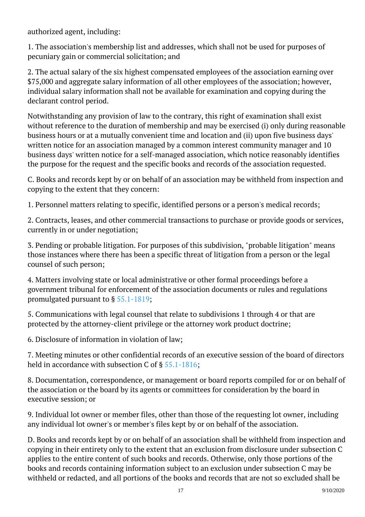authorized agent, including: Ĩ

1. The association's membership list and addresses, which shall not be used for purposes of pecuniary gain or commercial solicitation; and <sup>"</sup>

2. The actual salary of the six highest compensated employees of the association earning over \$75,000 and aggregate salary information of all other employees of the association; however, individual salary information shall not be available for examination and copying during the declarant control period.

Notwithstanding any provision of law to the contrary, this right of examination shall exist without reference to the duration of membership and may be exercised (i) only during reasonable business hours or at a mutually convenient time and location and (ii) upon five business days' written notice for an association managed by a common interest community manager and 10 business days' written notice for a self-managed association, which notice reasonably identifies the purpose for the request and the specific books and records of the association requested.

C. Books and records kept by or on behalf of an association may be withheld from inspection and copying to the extent that they concern:

1. Personnel matters relating to specific, identified persons or a person's medical records;

2. Contracts, leases, and other commercial transactions to purchase or provide goods or services, currently in or under negotiation;

3. Pending or probable litigation. For purposes of this subdivision, "probable litigation" means those instances where there has been a specific threat of litigation from a person or the legal counsel of such person;

4. Matters involving state or local administrative or other formal proceedings before a government tribunal for enforcement of the association documents or rules and regulations promulgated pursuant to § [55.1-1819;](/vacode/55.1-1819/) <sup>"</sup>

5. Communications with legal counsel that relate to subdivisions 1 through 4 or that are protected by the attorney-client privilege or the attorney work product doctrine; <sup>"</sup>

6. Disclosure of information in violation of law;

7. Meeting minutes or other confidential records of an executive session of the board of directors held in accordance with subsection C of §  $55.1$ - $1816;$ 

8. Documentation, correspondence, or management or board reports compiled for or on behalf of the association or the board by its agents or committees for consideration by the board in executive session; or

9. Individual lot owner or member files, other than those of the requesting lot owner, including any individual lot owner's or member's files kept by or on behalf of the association. Ĩ

D. Books and records kept by or on behalf of an association shall be withheld from inspection and copying in their entirety only to the extent that an exclusion from disclosure under subsection C applies to the entire content of such books and records. Otherwise, only those portions of the books and records containing information subject to an exclusion under subsection C may be withheld or redacted, and all portions of the books and records that are not so excluded shall be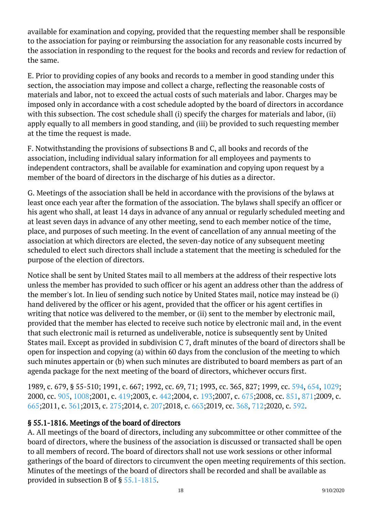available for examination and copying, provided that the requesting member shall be responsible to the association for paying or reimbursing the association for any reasonable costs incurred by the association in responding to the request for the books and records and review for redaction of the same.

E. Prior to providing copies of any books and records to a member in good standing under this section, the association may impose and collect a charge, reflecting the reasonable costs of materials and labor, not to exceed the actual costs of such materials and labor. Charges may be imposed only in accordance with a cost schedule adopted by the board of directors in accordance with this subsection. The cost schedule shall (i) specify the charges for materials and labor, (ii) apply equally to all members in good standing, and (iii) be provided to such requesting member at the time the request is made. Ĩ

F. Notwithstanding the provisions of subsections B and C, all books and records of the association, including individual salary information for all employees and payments to independent contractors, shall be available for examination and copying upon request by a member of the board of directors in the discharge of his duties as a director.

G. Meetings of the association shall be held in accordance with the provisions of the bylaws at least once each year after the formation of the association. The bylaws shall specify an officer or his agent who shall, at least 14 days in advance of any annual or regularly scheduled meeting and at least seven days in advance of any other meeting, send to each member notice of the time, place, and purposes of such meeting. In the event of cancellation of any annual meeting of the association at which directors are elected, the seven-day notice of any subsequent meeting scheduled to elect such directors shall include a statement that the meeting is scheduled for the purpose of the election of directors. <sup>"</sup>

Notice shall be sent by United States mail to all members at the address of their respective lots unless the member has provided to such officer or his agent an address other than the address of the member's lot. In lieu of sending such notice by United States mail, notice may instead be (i) hand delivered by the officer or his agent, provided that the officer or his agent certifies in writing that notice was delivered to the member, or (ii) sent to the member by electronic mail, provided that the member has elected to receive such notice by electronic mail and, in the event that such electronic mail is returned as undeliverable, notice is subsequently sent by United States mail. Except as provided in subdivision C 7, draft minutes of the board of directors shall be open for inspection and copying (a) within 60 days from the conclusion of the meeting to which such minutes appertain or (b) when such minutes are distributed to board members as part of an agenda package for the next meeting of the board of directors, whichever occurs first. Ĩ

1989, c. 679, § 55-510; 1991, c. 667; 1992, cc. 69, 71; 1993, cc. 365, 827; 1999, cc. [594,](http://lis.virginia.gov/cgi-bin/legp604.exe?991+ful+CHAP0594) [654](http://lis.virginia.gov/cgi-bin/legp604.exe?991+ful+CHAP0654), [1029;](http://lis.virginia.gov/cgi-bin/legp604.exe?991+ful+CHAP1029) 2000, cc. [905,](http://lis.virginia.gov/cgi-bin/legp604.exe?001+ful+CHAP0905) [1008;](http://lis.virginia.gov/cgi-bin/legp604.exe?001+ful+CHAP1008)2001, c. [419;](http://lis.virginia.gov/cgi-bin/legp604.exe?011+ful+CHAP0419)2003, c. [442;](http://lis.virginia.gov/cgi-bin/legp604.exe?031+ful+CHAP0442)2004, c. [193;](http://lis.virginia.gov/cgi-bin/legp604.exe?041+ful+CHAP0193)2007, c. [675;](http://lis.virginia.gov/cgi-bin/legp604.exe?071+ful+CHAP0675)2008, cc. [851,](http://lis.virginia.gov/cgi-bin/legp604.exe?081+ful+CHAP0851) [871;](http://lis.virginia.gov/cgi-bin/legp604.exe?081+ful+CHAP0871)2009, c. [665;](http://lis.virginia.gov/cgi-bin/legp604.exe?091+ful+CHAP0665)2011, c. [361;](http://lis.virginia.gov/cgi-bin/legp604.exe?111+ful+CHAP0361)2013, c. [275;](http://lis.virginia.gov/cgi-bin/legp604.exe?131+ful+CHAP0275)2014, c. [207;2](http://lis.virginia.gov/cgi-bin/legp604.exe?141+ful+CHAP0207)018, c. [663;2](http://lis.virginia.gov/cgi-bin/legp604.exe?181+ful+CHAP0663)019, cc. [368](http://lis.virginia.gov/cgi-bin/legp604.exe?191+ful+CHAP0368), [712;2](http://lis.virginia.gov/cgi-bin/legp604.exe?191+ful+CHAP0712)020, c. [592.](http://lis.virginia.gov/cgi-bin/legp604.exe?201+ful+CHAP0592)

## § 55.1-1816. Meetings of the board of directors

A. All meetings of the board of directors, including any subcommittee or other committee of the board of directors, where the business of the association is discussed or transacted shall be open to all members of record. The board of directors shall not use work sessions or other informal gatherings of the board of directors to circumvent the open meeting requirements of this section. Minutes of the meetings of the board of directors shall be recorded and shall be available as provided in subsection B of § [55.1-1815](/vacode/55.1-1815/).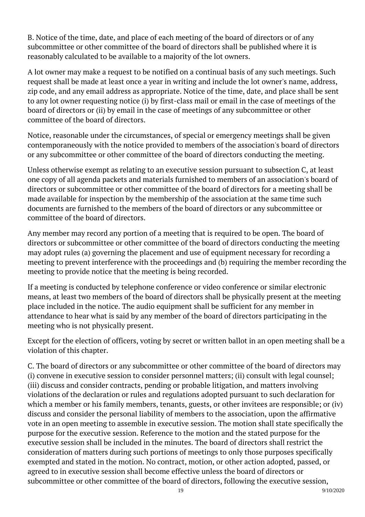B. Notice of the time, date, and place of each meeting of the board of directors or of any subcommittee or other committee of the board of directors shall be published where it is reasonably calculated to be available to a majority of the lot owners.

A lot owner may make a request to be notified on a continual basis of any such meetings. Such request shall be made at least once a year in writing and include the lot owner's name, address, zip code, and any email address as appropriate. Notice of the time, date, and place shall be sent to any lot owner requesting notice (i) by first-class mail or email in the case of meetings of the board of directors or (ii) by email in the case of meetings of any subcommittee or other committee of the board of directors.

Notice, reasonable under the circumstances, of special or emergency meetings shall be given contemporaneously with the notice provided to members of the association's board of directors or any subcommittee or other committee of the board of directors conducting the meeting.

Unless otherwise exempt as relating to an executive session pursuant to subsection C, at least one copy of all agenda packets and materials furnished to members of an association's board of directors or subcommittee or other committee of the board of directors for a meeting shall be made available for inspection by the membership of the association at the same time such documents are furnished to the members of the board of directors or any subcommittee or committee of the board of directors.

Any member may record any portion of a meeting that is required to be open. The board of directors or subcommittee or other committee of the board of directors conducting the meeting may adopt rules (a) governing the placement and use of equipment necessary for recording a meeting to prevent interference with the proceedings and (b) requiring the member recording the meeting to provide notice that the meeting is being recorded.

If a meeting is conducted by telephone conference or video conference or similar electronic means, at least two members of the board of directors shall be physically present at the meeting place included in the notice. The audio equipment shall be sufficient for any member in attendance to hear what is said by any member of the board of directors participating in the meeting who is not physically present.

Except for the election of officers, voting by secret or written ballot in an open meeting shall be a violation of this chapter.

C. The board of directors or any subcommittee or other committee of the board of directors may (i) convene in executive session to consider personnel matters; (ii) consult with legal counsel; (iii) discuss and consider contracts, pending or probable litigation, and matters involving violations of the declaration or rules and regulations adopted pursuant to such declaration for which a member or his family members, tenants, guests, or other invitees are responsible; or (iv) discuss and consider the personal liability of members to the association, upon the affirmative vote in an open meeting to assemble in executive session. The motion shall state specifically the purpose for the executive session. Reference to the motion and the stated purpose for the executive session shall be included in the minutes. The board of directors shall restrict the consideration of matters during such portions of meetings to only those purposes specifically exempted and stated in the motion. No contract, motion, or other action adopted, passed, or agreed to in executive session shall become effective unless the board of directors or subcommittee or other committee of the board of directors, following the executive session,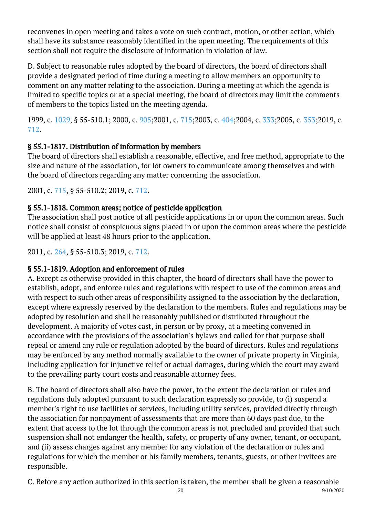reconvenes in open meeting and takes a vote on such contract, motion, or other action, which shall have its substance reasonably identified in the open meeting. The requirements of this section shall not require the disclosure of information in violation of law. Ĩ

D. Subject to reasonable rules adopted by the board of directors, the board of directors shall provide a designated period of time during a meeting to allow members an opportunity to comment on any matter relating to the association. During a meeting at which the agenda is limited to specific topics or at a special meeting, the board of directors may limit the comments of members to the topics listed on the meeting agenda.

1999, c. [1029](http://lis.virginia.gov/cgi-bin/legp604.exe?991+ful+CHAP1029), § 55-510.1; 2000, c. [905;2](http://lis.virginia.gov/cgi-bin/legp604.exe?001+ful+CHAP0905)001, c. [715;](http://lis.virginia.gov/cgi-bin/legp604.exe?011+ful+CHAP0715)2003, c. [404;](http://lis.virginia.gov/cgi-bin/legp604.exe?031+ful+CHAP0404)2004, c. [333;](http://lis.virginia.gov/cgi-bin/legp604.exe?041+ful+CHAP0333)2005, c. [353;](http://lis.virginia.gov/cgi-bin/legp604.exe?051+ful+CHAP0353)2019, c. [712](http://lis.virginia.gov/cgi-bin/legp604.exe?191+ful+CHAP0712).

## § 55.1-1817. Distribution of information by members

The board of directors shall establish a reasonable, effective, and free method, appropriate to the size and nature of the association, for lot owners to communicate among themselves and with the board of directors regarding any matter concerning the association.

2001, c. [715,](http://lis.virginia.gov/cgi-bin/legp604.exe?011+ful+CHAP0715) § 55-510.2; 2019, c. [712](http://lis.virginia.gov/cgi-bin/legp604.exe?191+ful+CHAP0712).

## § 55.1-1818. Common areas; notice of pesticide application

The association shall post notice of all pesticide applications in or upon the common areas. Such notice shall consist of conspicuous signs placed in or upon the common areas where the pesticide will be applied at least 48 hours prior to the application.

2011, c. [264,](http://lis.virginia.gov/cgi-bin/legp604.exe?111+ful+CHAP0264) § 55-510.3; 2019, c. [712](http://lis.virginia.gov/cgi-bin/legp604.exe?191+ful+CHAP0712).

## § 55.1-1819. Adoption and enforcement of rules

A. Except as otherwise provided in this chapter, the board of directors shall have the power to establish, adopt, and enforce rules and regulations with respect to use of the common areas and with respect to such other areas of responsibility assigned to the association by the declaration, except where expressly reserved by the declaration to the members. Rules and regulations may be adopted by resolution and shall be reasonably published or distributed throughout the development. A majority of votes cast, in person or by proxy, at a meeting convened in accordance with the provisions of the association's bylaws and called for that purpose shall repeal or amend any rule or regulation adopted by the board of directors. Rules and regulations may be enforced by any method normally available to the owner of private property in Virginia, including application for injunctive relief or actual damages, during which the court may award to the prevailing party court costs and reasonable attorney fees.

B. The board of directors shall also have the power, to the extent the declaration or rules and regulations duly adopted pursuant to such declaration expressly so provide, to (i) suspend a member's right to use facilities or services, including utility services, provided directly through the association for nonpayment of assessments that are more than 60 days past due, to the extent that access to the lot through the common areas is not precluded and provided that such suspension shall not endanger the health, safety, or property of any owner, tenant, or occupant, and (ii) assess charges against any member for any violation of the declaration or rules and regulations for which the member or his family members, tenants, guests, or other invitees are responsible.

C. Before any action authorized in this section is taken, the member shall be given a reasonable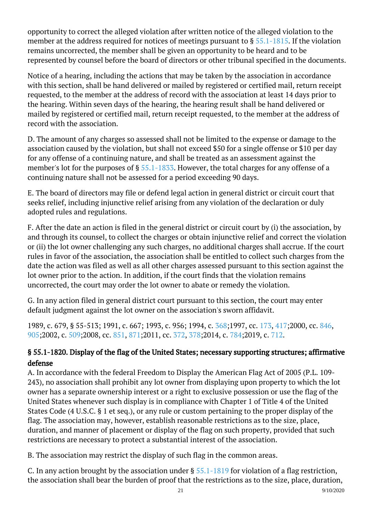opportunity to correct the alleged violation after written notice of the alleged violation to the member at the address required for notices of meetings pursuant to § [55.1-1815.](/vacode/55.1-1815/) If the violation remains uncorrected, the member shall be given an opportunity to be heard and to be represented by counsel before the board of directors or other tribunal specified in the documents.

Notice of a hearing, including the actions that may be taken by the association in accordance with this section, shall be hand delivered or mailed by registered or certified mail, return receipt requested, to the member at the address of record with the association at least 14 days prior to the hearing. Within seven days of the hearing, the hearing result shall be hand delivered or mailed by registered or certified mail, return receipt requested, to the member at the address of record with the association.

D. The amount of any charges so assessed shall not be limited to the expense or damage to the association caused by the violation, but shall not exceed \$50 for a single offense or \$10 per day for any offense of a continuing nature, and shall be treated as an assessment against the member's lot for the purposes of § [55.1-1833](/vacode/55.1-1833/). However, the total charges for any offense of a continuing nature shall not be assessed for a period exceeding 90 days.

E. The board of directors may file or defend legal action in general district or circuit court that seeks relief, including injunctive relief arising from any violation of the declaration or duly adopted rules and regulations.

F. After the date an action is filed in the general district or circuit court by (i) the association, by and through its counsel, to collect the charges or obtain injunctive relief and correct the violation or (ii) the lot owner challenging any such charges, no additional charges shall accrue. If the court rules in favor of the association, the association shall be entitled to collect such charges from the date the action was filed as well as all other charges assessed pursuant to this section against the lot owner prior to the action. In addition, if the court finds that the violation remains uncorrected, the court may order the lot owner to abate or remedy the violation.

G. In any action filed in general district court pursuant to this section, the court may enter default judgment against the lot owner on the association's sworn affidavit.

1989, c. 679, § 55-513; 1991, c. 667; 1993, c. 956; 1994, c. [368;](http://lis.virginia.gov/cgi-bin/legp604.exe?941+ful+CHAP0368)1997, cc. [173,](http://lis.virginia.gov/cgi-bin/legp604.exe?971+ful+CHAP0173) [417;](http://lis.virginia.gov/cgi-bin/legp604.exe?971+ful+CHAP0417)2000, cc. [846,](http://lis.virginia.gov/cgi-bin/legp604.exe?001+ful+CHAP0846) [905;](http://lis.virginia.gov/cgi-bin/legp604.exe?001+ful+CHAP0905)2002, c. [509;](http://lis.virginia.gov/cgi-bin/legp604.exe?021+ful+CHAP0509)2008, cc. [851,](http://lis.virginia.gov/cgi-bin/legp604.exe?081+ful+CHAP0851) [871;](http://lis.virginia.gov/cgi-bin/legp604.exe?081+ful+CHAP0871)2011, cc. [372,](http://lis.virginia.gov/cgi-bin/legp604.exe?111+ful+CHAP0372) [378;](http://lis.virginia.gov/cgi-bin/legp604.exe?111+ful+CHAP0378)2014, c. [784;](http://lis.virginia.gov/cgi-bin/legp604.exe?141+ful+CHAP0784)2019, c. [712.](http://lis.virginia.gov/cgi-bin/legp604.exe?191+ful+CHAP0712)

## § 55.1-1820. Display of the flag of the United States; necessary supporting structures; affirmative defense

A. In accordance with the federal Freedom to Display the American Flag Act of 2005 (P.L. 109- 243), no association shall prohibit any lot owner from displaying upon property to which the lot owner has a separate ownership interest or a right to exclusive possession or use the flag of the United States whenever such display is in compliance with Chapter 1 of Title 4 of the United States Code (4 U.S.C. § 1 et seq.), or any rule or custom pertaining to the proper display of the flag. The association may, however, establish reasonable restrictions as to the size, place, duration, and manner of placement or display of the flag on such property, provided that such restrictions are necessary to protect a substantial interest of the association.

B. The association may restrict the display of such flag in the common areas.

C. In any action brought by the association under § [55.1-1819](/vacode/55.1-1819/) for violation of a flag restriction, the association shall bear the burden of proof that the restrictions as to the size, place, duration,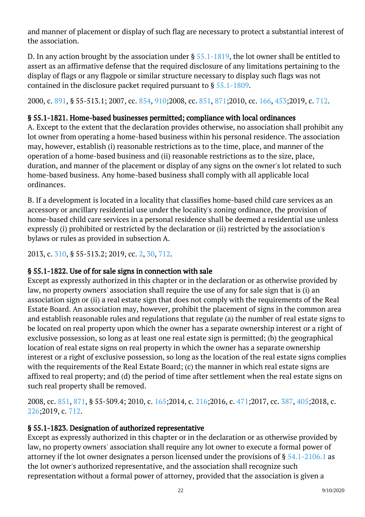and manner of placement or display of such flag are necessary to protect a substantial interest of the association.

D. In any action brought by the association under § [55.1-1819,](/vacode/55.1-1819/) the lot owner shall be entitled to assert as an affirmative defense that the required disclosure of any limitations pertaining to the display of flags or any flagpole or similar structure necessary to display such flags was not contained in the disclosure packet required pursuant to § [55.1-1809.](/vacode/55.1-1809/)

2000, c. [891,](http://lis.virginia.gov/cgi-bin/legp604.exe?001+ful+CHAP0891) § 55-513.1; 2007, cc. [854,](http://lis.virginia.gov/cgi-bin/legp604.exe?071+ful+CHAP0854) [910;](http://lis.virginia.gov/cgi-bin/legp604.exe?071+ful+CHAP0910)2008, cc. [851,](http://lis.virginia.gov/cgi-bin/legp604.exe?081+ful+CHAP0851) [871;](http://lis.virginia.gov/cgi-bin/legp604.exe?081+ful+CHAP0871)2010, cc. [166,](http://lis.virginia.gov/cgi-bin/legp604.exe?101+ful+CHAP0166) [453;](http://lis.virginia.gov/cgi-bin/legp604.exe?101+ful+CHAP0453)2019, c. [712](http://lis.virginia.gov/cgi-bin/legp604.exe?191+ful+CHAP0712).

## § 55.1-1821. Home-based businesses permitted; compliance with local ordinances

A. Except to the extent that the declaration provides otherwise, no association shall prohibit any lot owner from operating a home-based business within his personal residence. The association may, however, establish (i) reasonable restrictions as to the time, place, and manner of the operation of a home-based business and (ii) reasonable restrictions as to the size, place, duration, and manner of the placement or display of any signs on the owner's lot related to such home-based business. Any home-based business shall comply with all applicable local ordinances.

B. If a development is located in a locality that classifies home-based child care services as an accessory or ancillary residential use under the locality's zoning ordinance, the provision of home-based child care services in a personal residence shall be deemed a residential use unless expressly (i) prohibited or restricted by the declaration or (ii) restricted by the association's bylaws or rules as provided in subsection A.

2013, c. [310,](http://lis.virginia.gov/cgi-bin/legp604.exe?131+ful+CHAP0310) § 55-513.2; 2019, cc. [2,](http://lis.virginia.gov/cgi-bin/legp604.exe?191+ful+CHAP0002) [30](http://lis.virginia.gov/cgi-bin/legp604.exe?191+ful+CHAP0030), [712.](http://lis.virginia.gov/cgi-bin/legp604.exe?191+ful+CHAP0712)

## § 55.1-1822. Use of for sale signs in connection with sale

Except as expressly authorized in this chapter or in the declaration or as otherwise provided by law, no property owners' association shall require the use of any for sale sign that is (i) an association sign or (ii) a real estate sign that does not comply with the requirements of the Real Estate Board. An association may, however, prohibit the placement of signs in the common area and establish reasonable rules and regulations that regulate (a) the number of real estate signs to be located on real property upon which the owner has a separate ownership interest or a right of exclusive possession, so long as at least one real estate sign is permitted; (b) the geographical location of real estate signs on real property in which the owner has a separate ownership interest or a right of exclusive possession, so long as the location of the real estate signs complies with the requirements of the Real Estate Board; (c) the manner in which real estate signs are affixed to real property; and (d) the period of time after settlement when the real estate signs on such real property shall be removed. Ĩ

2008, cc. [851,](http://lis.virginia.gov/cgi-bin/legp604.exe?081+ful+CHAP0851) [871](http://lis.virginia.gov/cgi-bin/legp604.exe?081+ful+CHAP0871), § 55-509.4; 2010, c. [165;](http://lis.virginia.gov/cgi-bin/legp604.exe?101+ful+CHAP0165)2014, c. [216;](http://lis.virginia.gov/cgi-bin/legp604.exe?141+ful+CHAP0216)2016, c. [471;](http://lis.virginia.gov/cgi-bin/legp604.exe?161+ful+CHAP0471)2017, cc. [387,](http://lis.virginia.gov/cgi-bin/legp604.exe?171+ful+CHAP0387) [405;](http://lis.virginia.gov/cgi-bin/legp604.exe?171+ful+CHAP0405)2018, c. [226;](http://lis.virginia.gov/cgi-bin/legp604.exe?181+ful+CHAP0226)2019, c. [712](http://lis.virginia.gov/cgi-bin/legp604.exe?191+ful+CHAP0712).

## § 55.1-1823. Designation of authorized representative

Except as expressly authorized in this chapter or in the declaration or as otherwise provided by law, no property owners' association shall require any lot owner to execute a formal power of attorney if the lot owner designates a person licensed under the provisions of § [54.1-2106.1](/vacode/54.1-2106.1/) as the lot owner's authorized representative, and the association shall recognize such representation without a formal power of attorney, provided that the association is given a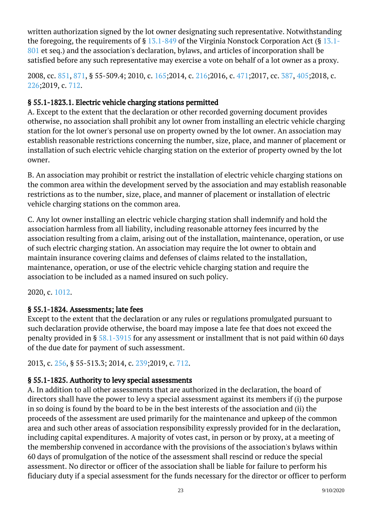written authorization signed by the lot owner designating such representative. Notwithstanding the foregoing, the requirements of §  $13.1-849$  $13.1-849$  of the Virginia Nonstock Corporation Act (§ 13.1-[801](/vacode/13.1-801/) et seq.) and the association's declaration, bylaws, and articles of incorporation shall be satisfied before any such representative may exercise a vote on behalf of a lot owner as a proxy. Ĩ

2008, cc. [851,](http://lis.virginia.gov/cgi-bin/legp604.exe?081+ful+CHAP0851) [871](http://lis.virginia.gov/cgi-bin/legp604.exe?081+ful+CHAP0871), § 55-509.4; 2010, c. [165;](http://lis.virginia.gov/cgi-bin/legp604.exe?101+ful+CHAP0165)2014, c. [216;](http://lis.virginia.gov/cgi-bin/legp604.exe?141+ful+CHAP0216)2016, c. [471;](http://lis.virginia.gov/cgi-bin/legp604.exe?161+ful+CHAP0471)2017, cc. [387,](http://lis.virginia.gov/cgi-bin/legp604.exe?171+ful+CHAP0387) [405;](http://lis.virginia.gov/cgi-bin/legp604.exe?171+ful+CHAP0405)2018, c. [226;](http://lis.virginia.gov/cgi-bin/legp604.exe?181+ful+CHAP0226)2019, c. [712](http://lis.virginia.gov/cgi-bin/legp604.exe?191+ful+CHAP0712).

## § 55.1-1823.1. Electric vehicle charging stations permitted

A. Except to the extent that the declaration or other recorded governing document provides otherwise, no association shall prohibit any lot owner from installing an electric vehicle charging station for the lot owner's personal use on property owned by the lot owner. An association may establish reasonable restrictions concerning the number, size, place, and manner of placement or installation of such electric vehicle charging station on the exterior of property owned by the lot owner.

B. An association may prohibit or restrict the installation of electric vehicle charging stations on the common area within the development served by the association and may establish reasonable restrictions as to the number, size, place, and manner of placement or installation of electric vehicle charging stations on the common area.

C. Any lot owner installing an electric vehicle charging station shall indemnify and hold the association harmless from all liability, including reasonable attorney fees incurred by the association resulting from a claim, arising out of the installation, maintenance, operation, or use of such electric charging station. An association may require the lot owner to obtain and maintain insurance covering claims and defenses of claims related to the installation, maintenance, operation, or use of the electric vehicle charging station and require the association to be included as a named insured on such policy. Ĩ

#### 2020, c. [1012](http://lis.virginia.gov/cgi-bin/legp604.exe?201+ful+CHAP1012).

## § 55.1-1824. Assessments; late fees

Except to the extent that the declaration or any rules or regulations promulgated pursuant to such declaration provide otherwise, the board may impose a late fee that does not exceed the penalty provided in § [58.1-3915](/vacode/58.1-3915/) for any assessment or installment that is not paid within 60 days of the due date for payment of such assessment.

2013, c. [256,](http://lis.virginia.gov/cgi-bin/legp604.exe?131+ful+CHAP0256) § 55-513.3; 2014, c. [239;](http://lis.virginia.gov/cgi-bin/legp604.exe?141+ful+CHAP0239)2019, c. [712](http://lis.virginia.gov/cgi-bin/legp604.exe?191+ful+CHAP0712).

## § 55.1-1825. Authority to levy special assessments

A. In addition to all other assessments that are authorized in the declaration, the board of directors shall have the power to levy a special assessment against its members if (i) the purpose in so doing is found by the board to be in the best interests of the association and (ii) the proceeds of the assessment are used primarily for the maintenance and upkeep of the common area and such other areas of association responsibility expressly provided for in the declaration, including capital expenditures. A majority of votes cast, in person or by proxy, at a meeting of the membership convened in accordance with the provisions of the association's bylaws within 60 days of promulgation of the notice of the assessment shall rescind or reduce the special assessment. No director or officer of the association shall be liable for failure to perform his fiduciary duty if a special assessment for the funds necessary for the director or officer to perform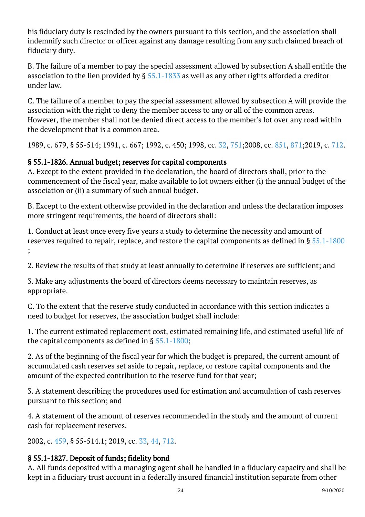his fiduciary duty is rescinded by the owners pursuant to this section, and the association shall indemnify such director or officer against any damage resulting from any such claimed breach of fiduciary duty.

B. The failure of a member to pay the special assessment allowed by subsection A shall entitle the association to the lien provided by § [55.1-1833](/vacode/55.1-1833/) as well as any other rights afforded a creditor under law.

C. The failure of a member to pay the special assessment allowed by subsection A will provide the association with the right to deny the member access to any or all of the common areas. However, the member shall not be denied direct access to the member's lot over any road within the development that is a common area.

1989, c. 679, § 55-514; 1991, c. 667; 1992, c. 450; 1998, cc. [32](http://lis.virginia.gov/cgi-bin/legp604.exe?981+ful+CHAP0032), [751;2](http://lis.virginia.gov/cgi-bin/legp604.exe?981+ful+CHAP0751)008, cc. [851](http://lis.virginia.gov/cgi-bin/legp604.exe?081+ful+CHAP0851), [871;2](http://lis.virginia.gov/cgi-bin/legp604.exe?081+ful+CHAP0871)019, c. [712.](http://lis.virginia.gov/cgi-bin/legp604.exe?191+ful+CHAP0712)

## § 55.1-1826. Annual budget; reserves for capital components

A. Except to the extent provided in the declaration, the board of directors shall, prior to the commencement of the fiscal year, make available to lot owners either (i) the annual budget of the association or (ii) a summary of such annual budget. Ĩ

B. Except to the extent otherwise provided in the declaration and unless the declaration imposes more stringent requirements, the board of directors shall:

1. Conduct at least once every five years a study to determine the necessity and amount of reserves required to repair, replace, and restore the capital components as defined in § [55.1-1800](/vacode/55.1-1800/) ;  $\overline{a}$ 

2. Review the results of that study at least annually to determine if reserves are sufficient; and

3. Make any adjustments the board of directors deems necessary to maintain reserves, as appropriate. Ĩ

C. To the extent that the reserve study conducted in accordance with this section indicates a need to budget for reserves, the association budget shall include:

1. The current estimated replacement cost, estimated remaining life, and estimated useful life of the capital components as defined in § [55.1-1800;](/vacode/55.1-1800/)

2. As of the beginning of the fiscal year for which the budget is prepared, the current amount of accumulated cash reserves set aside to repair, replace, or restore capital components and the amount of the expected contribution to the reserve fund for that year; Ĩ

3. A statement describing the procedures used for estimation and accumulation of cash reserves pursuant to this section; and <sup>"</sup>

4. A statement of the amount of reserves recommended in the study and the amount of current cash for replacement reserves.

2002, c. [459,](http://lis.virginia.gov/cgi-bin/legp604.exe?021+ful+CHAP0459) § 55-514.1; 2019, cc. [33](http://lis.virginia.gov/cgi-bin/legp604.exe?191+ful+CHAP0033), [44](http://lis.virginia.gov/cgi-bin/legp604.exe?191+ful+CHAP0044), [712.](http://lis.virginia.gov/cgi-bin/legp604.exe?191+ful+CHAP0712)

## § 55.1-1827. Deposit of funds; fidelity bond

A. All funds deposited with a managing agent shall be handled in a fiduciary capacity and shall be kept in a fiduciary trust account in a federally insured financial institution separate from other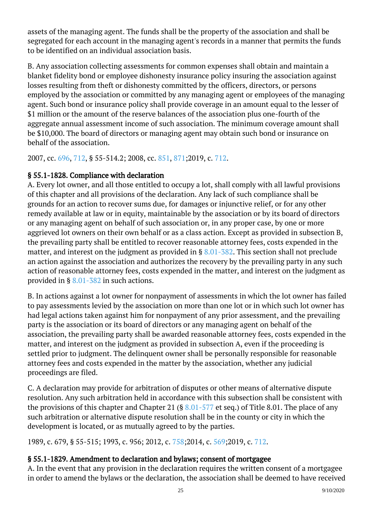assets of the managing agent. The funds shall be the property of the association and shall be segregated for each account in the managing agent's records in a manner that permits the funds to be identified on an individual association basis.

B. Any association collecting assessments for common expenses shall obtain and maintain a blanket fidelity bond or employee dishonesty insurance policy insuring the association against losses resulting from theft or dishonesty committed by the officers, directors, or persons employed by the association or committed by any managing agent or employees of the managing agent. Such bond or insurance policy shall provide coverage in an amount equal to the lesser of \$1 million or the amount of the reserve balances of the association plus one-fourth of the aggregate annual assessment income of such association. The minimum coverage amount shall be \$10,000. The board of directors or managing agent may obtain such bond or insurance on behalf of the association.

2007, cc. [696,](http://lis.virginia.gov/cgi-bin/legp604.exe?071+ful+CHAP0696) [712](http://lis.virginia.gov/cgi-bin/legp604.exe?071+ful+CHAP0712), § 55-514.2; 2008, cc. [851,](http://lis.virginia.gov/cgi-bin/legp604.exe?081+ful+CHAP0851) [871;](http://lis.virginia.gov/cgi-bin/legp604.exe?081+ful+CHAP0871)2019, c. [712](http://lis.virginia.gov/cgi-bin/legp604.exe?191+ful+CHAP0712).

## § 55.1-1828. Compliance with declaration

A. Every lot owner, and all those entitled to occupy a lot, shall comply with all lawful provisions of this chapter and all provisions of the declaration. Any lack of such compliance shall be grounds for an action to recover sums due, for damages or injunctive relief, or for any other remedy available at law or in equity, maintainable by the association or by its board of directors or any managing agent on behalf of such association or, in any proper case, by one or more aggrieved lot owners on their own behalf or as a class action. Except as provided in subsection B, the prevailing party shall be entitled to recover reasonable attorney fees, costs expended in the matter, and interest on the judgment as provided in § [8.01-382.](/vacode/8.01-382/) This section shall not preclude an action against the association and authorizes the recovery by the prevailing party in any such action of reasonable attorney fees, costs expended in the matter, and interest on the judgment as provided in § [8.01-382](/vacode/8.01-382/) in such actions. <sup>"</sup>

B. In actions against a lot owner for nonpayment of assessments in which the lot owner has failed to pay assessments levied by the association on more than one lot or in which such lot owner has had legal actions taken against him for nonpayment of any prior assessment, and the prevailing party is the association or its board of directors or any managing agent on behalf of the association, the prevailing party shall be awarded reasonable attorney fees, costs expended in the matter, and interest on the judgment as provided in subsection A, even if the proceeding is settled prior to judgment. The delinquent owner shall be personally responsible for reasonable attorney fees and costs expended in the matter by the association, whether any judicial proceedings are filed. <sup>"</sup>

C. A declaration may provide for arbitration of disputes or other means of alternative dispute resolution. Any such arbitration held in accordance with this subsection shall be consistent with the provisions of this chapter and Chapter 21 (§  $8.01-577$  et seq.) of Title 8.01. The place of any such arbitration or alternative dispute resolution shall be in the county or city in which the development is located, or as mutually agreed to by the parties.

1989, c. 679, § 55-515; 1993, c. 956; 2012, c. [758;](http://lis.virginia.gov/cgi-bin/legp604.exe?121+ful+CHAP0758)2014, c. [569;](http://lis.virginia.gov/cgi-bin/legp604.exe?141+ful+CHAP0569)2019, c. [712](http://lis.virginia.gov/cgi-bin/legp604.exe?191+ful+CHAP0712).

## § 55.1-1829. Amendment to declaration and bylaws; consent of mortgagee

A. In the event that any provision in the declaration requires the written consent of a mortgagee in order to amend the bylaws or the declaration, the association shall be deemed to have received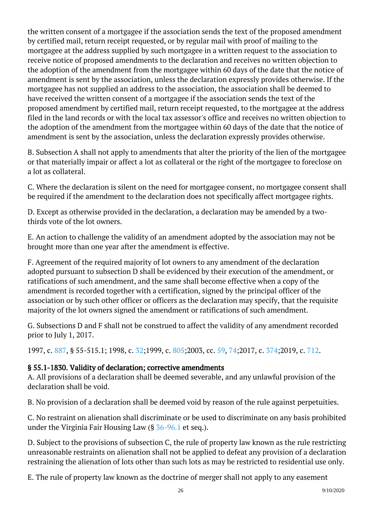the written consent of a mortgagee if the association sends the text of the proposed amendment by certified mail, return receipt requested, or by regular mail with proof of mailing to the mortgagee at the address supplied by such mortgagee in a written request to the association to receive notice of proposed amendments to the declaration and receives no written objection to the adoption of the amendment from the mortgagee within 60 days of the date that the notice of amendment is sent by the association, unless the declaration expressly provides otherwise. If the mortgagee has not supplied an address to the association, the association shall be deemed to have received the written consent of a mortgagee if the association sends the text of the proposed amendment by certified mail, return receipt requested, to the mortgagee at the address filed in the land records or with the local tax assessor's office and receives no written objection to the adoption of the amendment from the mortgagee within 60 days of the date that the notice of amendment is sent by the association, unless the declaration expressly provides otherwise. Ĩ

B. Subsection A shall not apply to amendments that alter the priority of the lien of the mortgagee or that materially impair or affect a lot as collateral or the right of the mortgagee to foreclose on a lot as collateral. I

C. Where the declaration is silent on the need for mortgagee consent, no mortgagee consent shall be required if the amendment to the declaration does not specifically affect mortgagee rights.

D. Except as otherwise provided in the declaration, a declaration may be amended by a twothirds vote of the lot owners.

E. An action to challenge the validity of an amendment adopted by the association may not be brought more than one year after the amendment is effective.

F. Agreement of the required majority of lot owners to any amendment of the declaration adopted pursuant to subsection D shall be evidenced by their execution of the amendment, or ratifications of such amendment, and the same shall become effective when a copy of the amendment is recorded together with a certification, signed by the principal officer of the association or by such other officer or officers as the declaration may specify, that the requisite majority of the lot owners signed the amendment or ratifications of such amendment.

G. Subsections D and F shall not be construed to affect the validity of any amendment recorded prior to July 1, 2017. <sup>"</sup>

1997, c. [887,](http://lis.virginia.gov/cgi-bin/legp604.exe?971+ful+CHAP0887) § 55-515.1; 1998, c. [32;1](http://lis.virginia.gov/cgi-bin/legp604.exe?981+ful+CHAP0032)999, c. [805;2](http://lis.virginia.gov/cgi-bin/legp604.exe?991+ful+CHAP0805)003, cc. [59,](http://lis.virginia.gov/cgi-bin/legp604.exe?031+ful+CHAP0059) [74;2](http://lis.virginia.gov/cgi-bin/legp604.exe?031+ful+CHAP0074)017, c. [374;2](http://lis.virginia.gov/cgi-bin/legp604.exe?171+ful+CHAP0374)019, c. [712.](http://lis.virginia.gov/cgi-bin/legp604.exe?191+ful+CHAP0712)

## § 55.1-1830. Validity of declaration; corrective amendments

A. All provisions of a declaration shall be deemed severable, and any unlawful provision of the declaration shall be void.

B. No provision of a declaration shall be deemed void by reason of the rule against perpetuities.

C. No restraint on alienation shall discriminate or be used to discriminate on any basis prohibited under the Virginia Fair Housing Law  $(§ 36-96.1$  et seq.).

D. Subject to the provisions of subsection C, the rule of property law known as the rule restricting unreasonable restraints on alienation shall not be applied to defeat any provision of a declaration restraining the alienation of lots other than such lots as may be restricted to residential use only.

E. The rule of property law known as the doctrine of merger shall not apply to any easement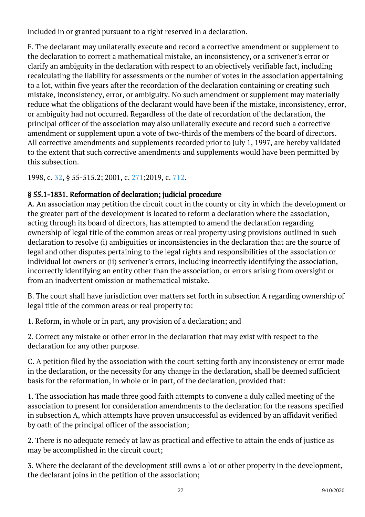included in or granted pursuant to a right reserved in a declaration.

F. The declarant may unilaterally execute and record a corrective amendment or supplement to the declaration to correct a mathematical mistake, an inconsistency, or a scrivener's error or clarify an ambiguity in the declaration with respect to an objectively verifiable fact, including recalculating the liability for assessments or the number of votes in the association appertaining to a lot, within five years after the recordation of the declaration containing or creating such mistake, inconsistency, error, or ambiguity. No such amendment or supplement may materially reduce what the obligations of the declarant would have been if the mistake, inconsistency, error, or ambiguity had not occurred. Regardless of the date of recordation of the declaration, the principal officer of the association may also unilaterally execute and record such a corrective amendment or supplement upon a vote of two-thirds of the members of the board of directors. All corrective amendments and supplements recorded prior to July 1, 1997, are hereby validated to the extent that such corrective amendments and supplements would have been permitted by this subsection.

1998, c. [32,](http://lis.virginia.gov/cgi-bin/legp604.exe?981+ful+CHAP0032) § 55-515.2; 2001, c. [271;2](http://lis.virginia.gov/cgi-bin/legp604.exe?011+ful+CHAP0271)019, c. [712.](http://lis.virginia.gov/cgi-bin/legp604.exe?191+ful+CHAP0712)

## § 55.1-1831. Reformation of declaration; judicial procedure

A. An association may petition the circuit court in the county or city in which the development or the greater part of the development is located to reform a declaration where the association, acting through its board of directors, has attempted to amend the declaration regarding ownership of legal title of the common areas or real property using provisions outlined in such declaration to resolve (i) ambiguities or inconsistencies in the declaration that are the source of legal and other disputes pertaining to the legal rights and responsibilities of the association or individual lot owners or (ii) scrivener's errors, including incorrectly identifying the association, incorrectly identifying an entity other than the association, or errors arising from oversight or from an inadvertent omission or mathematical mistake.

B. The court shall have jurisdiction over matters set forth in subsection A regarding ownership of legal title of the common areas or real property to:

1. Reform, in whole or in part, any provision of a declaration; and

2. Correct any mistake or other error in the declaration that may exist with respect to the declaration for any other purpose.

C. A petition filed by the association with the court setting forth any inconsistency or error made in the declaration, or the necessity for any change in the declaration, shall be deemed sufficient basis for the reformation, in whole or in part, of the declaration, provided that:

1. The association has made three good faith attempts to convene a duly called meeting of the association to present for consideration amendments to the declaration for the reasons specified in subsection A, which attempts have proven unsuccessful as evidenced by an affidavit verified by oath of the principal officer of the association;

2. There is no adequate remedy at law as practical and effective to attain the ends of justice as may be accomplished in the circuit court;

3. Where the declarant of the development still owns a lot or other property in the development, the declarant joins in the petition of the association;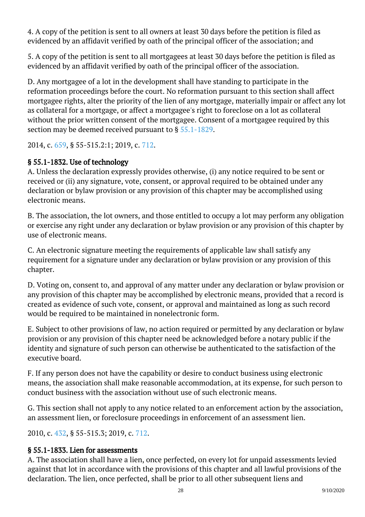4. A copy of the petition is sent to all owners at least 30 days before the petition is filed as evidenced by an affidavit verified by oath of the principal officer of the association; and

5. A copy of the petition is sent to all mortgagees at least 30 days before the petition is filed as evidenced by an affidavit verified by oath of the principal officer of the association.

D. Any mortgagee of a lot in the development shall have standing to participate in the reformation proceedings before the court. No reformation pursuant to this section shall affect mortgagee rights, alter the priority of the lien of any mortgage, materially impair or affect any lot as collateral for a mortgage, or affect a mortgagee's right to foreclose on a lot as collateral without the prior written consent of the mortgagee. Consent of a mortgagee required by this section may be deemed received pursuant to  $\S 55.1$ -1829. Ĩ

2014, c. [659,](http://lis.virginia.gov/cgi-bin/legp604.exe?141+ful+CHAP0659) § 55-515.2:1; 2019, c. [712](http://lis.virginia.gov/cgi-bin/legp604.exe?191+ful+CHAP0712).

### § 55.1-1832. Use of technology

A. Unless the declaration expressly provides otherwise, (i) any notice required to be sent or received or (ii) any signature, vote, consent, or approval required to be obtained under any declaration or bylaw provision or any provision of this chapter may be accomplished using electronic means.

B. The association, the lot owners, and those entitled to occupy a lot may perform any obligation or exercise any right under any declaration or bylaw provision or any provision of this chapter by use of electronic means.

C. An electronic signature meeting the requirements of applicable law shall satisfy any requirement for a signature under any declaration or bylaw provision or any provision of this chapter.

D. Voting on, consent to, and approval of any matter under any declaration or bylaw provision or any provision of this chapter may be accomplished by electronic means, provided that a record is created as evidence of such vote, consent, or approval and maintained as long as such record would be required to be maintained in nonelectronic form.

E. Subject to other provisions of law, no action required or permitted by any declaration or bylaw provision or any provision of this chapter need be acknowledged before a notary public if the identity and signature of such person can otherwise be authenticated to the satisfaction of the executive board.

F. If any person does not have the capability or desire to conduct business using electronic means, the association shall make reasonable accommodation, at its expense, for such person to conduct business with the association without use of such electronic means.

G. This section shall not apply to any notice related to an enforcement action by the association, an assessment lien, or foreclosure proceedings in enforcement of an assessment lien. Ĩ

2010, c. [432,](http://lis.virginia.gov/cgi-bin/legp604.exe?101+ful+CHAP0432) § 55-515.3; 2019, c. [712](http://lis.virginia.gov/cgi-bin/legp604.exe?191+ful+CHAP0712).

## § 55.1-1833. Lien for assessments

A. The association shall have a lien, once perfected, on every lot for unpaid assessments levied against that lot in accordance with the provisions of this chapter and all lawful provisions of the declaration. The lien, once perfected, shall be prior to all other subsequent liens and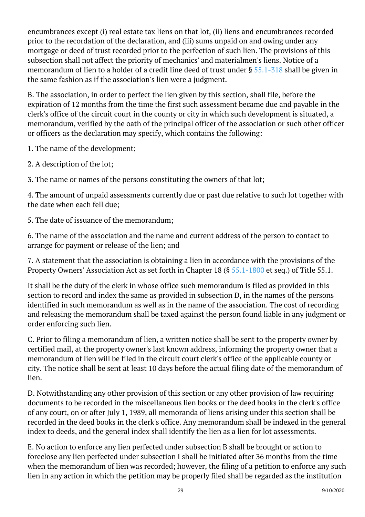encumbrances except (i) real estate tax liens on that lot, (ii) liens and encumbrances recorded prior to the recordation of the declaration, and (iii) sums unpaid on and owing under any mortgage or deed of trust recorded prior to the perfection of such lien. The provisions of this subsection shall not affect the priority of mechanics' and materialmen's liens. Notice of a memorandum of lien to a holder of a credit line deed of trust under § [55.1-318](/vacode/55.1-318/) shall be given in the same fashion as if the association's lien were a judgment.

B. The association, in order to perfect the lien given by this section, shall file, before the expiration of 12 months from the time the first such assessment became due and payable in the clerk's office of the circuit court in the county or city in which such development is situated, a memorandum, verified by the oath of the principal officer of the association or such other officer or officers as the declaration may specify, which contains the following:

1. The name of the development;

2. A description of the lot;

3. The name or names of the persons constituting the owners of that lot;

4. The amount of unpaid assessments currently due or past due relative to such lot together with the date when each fell due;

5. The date of issuance of the memorandum; I

6. The name of the association and the name and current address of the person to contact to arrange for payment or release of the lien; and

7. A statement that the association is obtaining a lien in accordance with the provisions of the Property Owners' Association Act as set forth in Chapter 18 (§ [55.1-1800](/vacode/55.1-1800/) et seq.) of Title 55.1.

It shall be the duty of the clerk in whose office such memorandum is filed as provided in this section to record and index the same as provided in subsection D, in the names of the persons identified in such memorandum as well as in the name of the association. The cost of recording and releasing the memorandum shall be taxed against the person found liable in any judgment or order enforcing such lien.

C. Prior to filing a memorandum of lien, a written notice shall be sent to the property owner by certified mail, at the property owner's last known address, informing the property owner that a memorandum of lien will be filed in the circuit court clerk's office of the applicable county or city. The notice shall be sent at least 10 days before the actual filing date of the memorandum of lien.

D. Notwithstanding any other provision of this section or any other provision of law requiring documents to be recorded in the miscellaneous lien books or the deed books in the clerk's office of any court, on or after July 1, 1989, all memoranda of liens arising under this section shall be recorded in the deed books in the clerk's office. Any memorandum shall be indexed in the general index to deeds, and the general index shall identify the lien as a lien for lot assessments.

E. No action to enforce any lien perfected under subsection B shall be brought or action to foreclose any lien perfected under subsection I shall be initiated after 36 months from the time when the memorandum of lien was recorded; however, the filing of a petition to enforce any such lien in any action in which the petition may be properly filed shall be regarded as the institution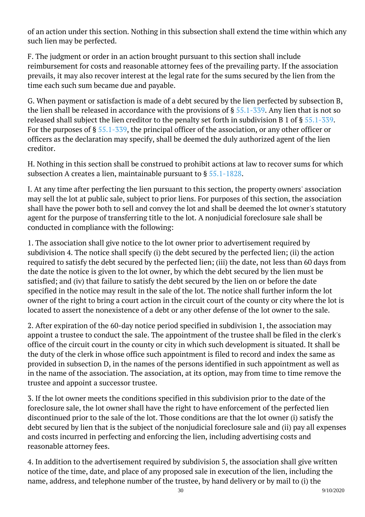of an action under this section. Nothing in this subsection shall extend the time within which any such lien may be perfected. Ĩ

F. The judgment or order in an action brought pursuant to this section shall include reimbursement for costs and reasonable attorney fees of the prevailing party. If the association prevails, it may also recover interest at the legal rate for the sums secured by the lien from the time each such sum became due and payable.

G. When payment or satisfaction is made of a debt secured by the lien perfected by subsection B, the lien shall be released in accordance with the provisions of § [55.1-339.](/vacode/55.1-339/) Any lien that is not so released shall subject the lien creditor to the penalty set forth in subdivision B 1 of § [55.1-339](/vacode/55.1-339/). For the purposes of § [55.1-339,](/vacode/55.1-339/) the principal officer of the association, or any other officer or officers as the declaration may specify, shall be deemed the duly authorized agent of the lien creditor.

H. Nothing in this section shall be construed to prohibit actions at law to recover sums for which subsection A creates a lien, maintainable pursuant to § [55.1-1828.](/vacode/55.1-1828/) Ĩ

I. At any time after perfecting the lien pursuant to this section, the property owners' association may sell the lot at public sale, subject to prior liens. For purposes of this section, the association shall have the power both to sell and convey the lot and shall be deemed the lot owner's statutory agent for the purpose of transferring title to the lot. A nonjudicial foreclosure sale shall be conducted in compliance with the following:

1. The association shall give notice to the lot owner prior to advertisement required by subdivision 4. The notice shall specify (i) the debt secured by the perfected lien; (ii) the action required to satisfy the debt secured by the perfected lien; (iii) the date, not less than 60 days from the date the notice is given to the lot owner, by which the debt secured by the lien must be satisfied; and (iv) that failure to satisfy the debt secured by the lien on or before the date specified in the notice may result in the sale of the lot. The notice shall further inform the lot owner of the right to bring a court action in the circuit court of the county or city where the lot is located to assert the nonexistence of a debt or any other defense of the lot owner to the sale.

2. After expiration of the 60-day notice period specified in subdivision 1, the association may appoint a trustee to conduct the sale. The appointment of the trustee shall be filed in the clerk's office of the circuit court in the county or city in which such development is situated. It shall be the duty of the clerk in whose office such appointment is filed to record and index the same as provided in subsection D, in the names of the persons identified in such appointment as well as in the name of the association. The association, at its option, may from time to time remove the trustee and appoint a successor trustee.

3. If the lot owner meets the conditions specified in this subdivision prior to the date of the foreclosure sale, the lot owner shall have the right to have enforcement of the perfected lien discontinued prior to the sale of the lot. Those conditions are that the lot owner (i) satisfy the debt secured by lien that is the subject of the nonjudicial foreclosure sale and (ii) pay all expenses and costs incurred in perfecting and enforcing the lien, including advertising costs and reasonable attorney fees.

4. In addition to the advertisement required by subdivision 5, the association shall give written notice of the time, date, and place of any proposed sale in execution of the lien, including the name, address, and telephone number of the trustee, by hand delivery or by mail to (i) the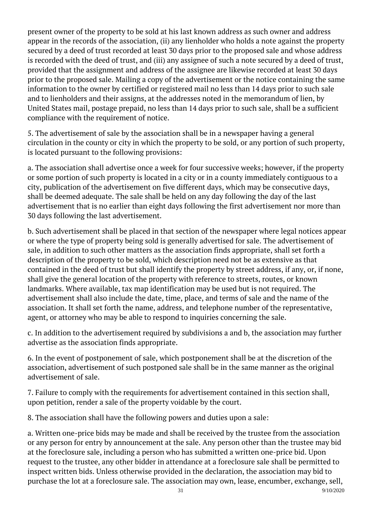present owner of the property to be sold at his last known address as such owner and address appear in the records of the association, (ii) any lienholder who holds a note against the property secured by a deed of trust recorded at least 30 days prior to the proposed sale and whose address is recorded with the deed of trust, and (iii) any assignee of such a note secured by a deed of trust, provided that the assignment and address of the assignee are likewise recorded at least 30 days prior to the proposed sale. Mailing a copy of the advertisement or the notice containing the same information to the owner by certified or registered mail no less than 14 days prior to such sale and to lienholders and their assigns, at the addresses noted in the memorandum of lien, by United States mail, postage prepaid, no less than 14 days prior to such sale, shall be a sufficient compliance with the requirement of notice.

5. The advertisement of sale by the association shall be in a newspaper having a general circulation in the county or city in which the property to be sold, or any portion of such property, is located pursuant to the following provisions:

a. The association shall advertise once a week for four successive weeks; however, if the property or some portion of such property is located in a city or in a county immediately contiguous to a city, publication of the advertisement on five different days, which may be consecutive days, shall be deemed adequate. The sale shall be held on any day following the day of the last advertisement that is no earlier than eight days following the first advertisement nor more than 30 days following the last advertisement.

b. Such advertisement shall be placed in that section of the newspaper where legal notices appear or where the type of property being sold is generally advertised for sale. The advertisement of sale, in addition to such other matters as the association finds appropriate, shall set forth a description of the property to be sold, which description need not be as extensive as that contained in the deed of trust but shall identify the property by street address, if any, or, if none, shall give the general location of the property with reference to streets, routes, or known landmarks. Where available, tax map identification may be used but is not required. The advertisement shall also include the date, time, place, and terms of sale and the name of the association. It shall set forth the name, address, and telephone number of the representative, agent, or attorney who may be able to respond to inquiries concerning the sale. Ĩ

c. In addition to the advertisement required by subdivisions a and b, the association may further advertise as the association finds appropriate. Ĩ

6. In the event of postponement of sale, which postponement shall be at the discretion of the association, advertisement of such postponed sale shall be in the same manner as the original advertisement of sale. Ĩ

7. Failure to comply with the requirements for advertisement contained in this section shall, upon petition, render a sale of the property voidable by the court.

8. The association shall have the following powers and duties upon a sale:

a. Written one-price bids may be made and shall be received by the trustee from the association or any person for entry by announcement at the sale. Any person other than the trustee may bid at the foreclosure sale, including a person who has submitted a written one-price bid. Upon request to the trustee, any other bidder in attendance at a foreclosure sale shall be permitted to inspect written bids. Unless otherwise provided in the declaration, the association may bid to purchase the lot at a foreclosure sale. The association may own, lease, encumber, exchange, sell,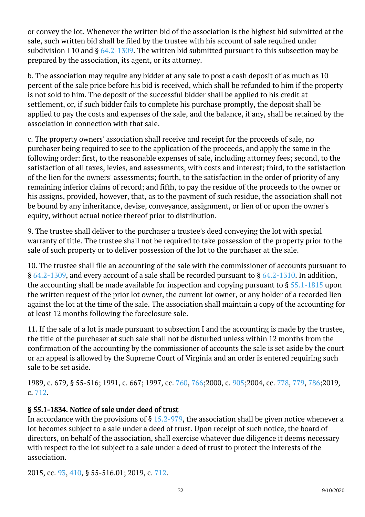or convey the lot. Whenever the written bid of the association is the highest bid submitted at the sale, such written bid shall be filed by the trustee with his account of sale required under subdivision I 10 and  $\S$  [64.2-1309](/vacode/64.2-1309/). The written bid submitted pursuant to this subsection may be prepared by the association, its agent, or its attorney. <sup>"</sup>

b. The association may require any bidder at any sale to post a cash deposit of as much as 10 percent of the sale price before his bid is received, which shall be refunded to him if the property is not sold to him. The deposit of the successful bidder shall be applied to his credit at settlement, or, if such bidder fails to complete his purchase promptly, the deposit shall be applied to pay the costs and expenses of the sale, and the balance, if any, shall be retained by the association in connection with that sale. Ĩ

c. The property owners' association shall receive and receipt for the proceeds of sale, no purchaser being required to see to the application of the proceeds, and apply the same in the following order: first, to the reasonable expenses of sale, including attorney fees; second, to the satisfaction of all taxes, levies, and assessments, with costs and interest; third, to the satisfaction of the lien for the owners' assessments; fourth, to the satisfaction in the order of priority of any remaining inferior claims of record; and fifth, to pay the residue of the proceeds to the owner or his assigns, provided, however, that, as to the payment of such residue, the association shall not be bound by any inheritance, devise, conveyance, assignment, or lien of or upon the owner's equity, without actual notice thereof prior to distribution.

9. The trustee shall deliver to the purchaser a trustee's deed conveying the lot with special warranty of title. The trustee shall not be required to take possession of the property prior to the sale of such property or to deliver possession of the lot to the purchaser at the sale.

10. The trustee shall file an accounting of the sale with the commissioner of accounts pursuant to § [64.2-1309](/vacode/64.2-1309/), and every account of a sale shall be recorded pursuant to § [64.2-1310](/vacode/64.2-1310/). In addition, the accounting shall be made available for inspection and copying pursuant to  $\S 55.1$ -1815 upon the written request of the prior lot owner, the current lot owner, or any holder of a recorded lien against the lot at the time of the sale. The association shall maintain a copy of the accounting for at least 12 months following the foreclosure sale. Ĩ

11. If the sale of a lot is made pursuant to subsection I and the accounting is made by the trustee, the title of the purchaser at such sale shall not be disturbed unless within 12 months from the confirmation of the accounting by the commissioner of accounts the sale is set aside by the court or an appeal is allowed by the Supreme Court of Virginia and an order is entered requiring such sale to be set aside. Ĩ

1989, c. 679, § 55-516; 1991, c. 667; 1997, cc. [760,](http://lis.virginia.gov/cgi-bin/legp604.exe?971+ful+CHAP0760) [766;](http://lis.virginia.gov/cgi-bin/legp604.exe?971+ful+CHAP0766)2000, c. [905;](http://lis.virginia.gov/cgi-bin/legp604.exe?001+ful+CHAP0905)2004, cc. [778,](http://lis.virginia.gov/cgi-bin/legp604.exe?041+ful+CHAP0778) [779](http://lis.virginia.gov/cgi-bin/legp604.exe?041+ful+CHAP0779), [786;2](http://lis.virginia.gov/cgi-bin/legp604.exe?041+ful+CHAP0786)019, c. [712](http://lis.virginia.gov/cgi-bin/legp604.exe?191+ful+CHAP0712).

## § 55.1-1834. Notice of sale under deed of trust

In accordance with the provisions of § [15.2-979](/vacode/15.2-979/), the association shall be given notice whenever a lot becomes subject to a sale under a deed of trust. Upon receipt of such notice, the board of directors, on behalf of the association, shall exercise whatever due diligence it deems necessary with respect to the lot subject to a sale under a deed of trust to protect the interests of the association. Ĩ

2015, cc. [93](http://lis.virginia.gov/cgi-bin/legp604.exe?151+ful+CHAP0093), [410,](http://lis.virginia.gov/cgi-bin/legp604.exe?151+ful+CHAP0410) § 55-516.01; 2019, c. [712](http://lis.virginia.gov/cgi-bin/legp604.exe?191+ful+CHAP0712).